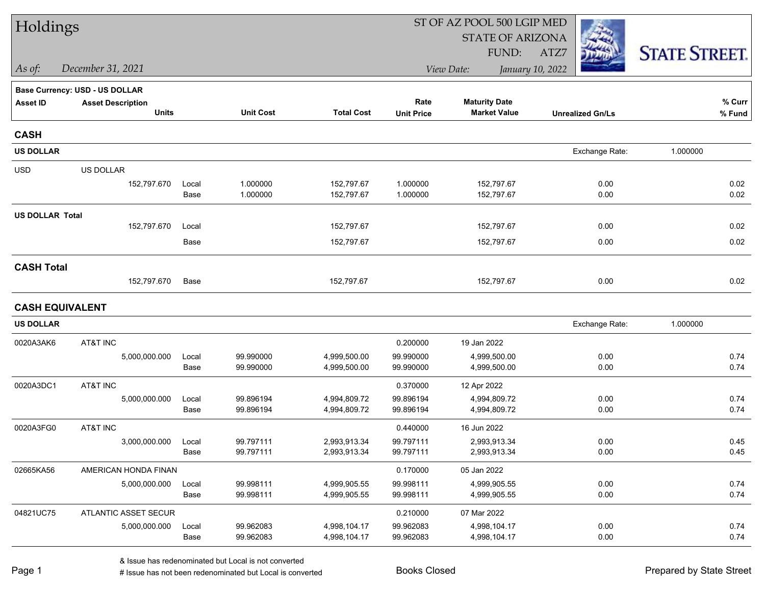| Holdings               |                                |               |                        |                              | ST OF AZ POOL 500 LGIP MED |                              |                         |                      |  |
|------------------------|--------------------------------|---------------|------------------------|------------------------------|----------------------------|------------------------------|-------------------------|----------------------|--|
|                        |                                |               |                        |                              |                            | <b>STATE OF ARIZONA</b>      |                         |                      |  |
|                        |                                |               |                        |                              |                            | FUND:                        | ATZ7                    | <b>STATE STREET.</b> |  |
| As of:                 | December 31, 2021              |               |                        |                              |                            | View Date:                   | January 10, 2022        |                      |  |
|                        | Base Currency: USD - US DOLLAR |               |                        |                              |                            |                              |                         |                      |  |
| <b>Asset ID</b>        | <b>Asset Description</b>       |               |                        |                              | Rate                       | <b>Maturity Date</b>         |                         | % Curr               |  |
|                        | <b>Units</b>                   |               | <b>Unit Cost</b>       | <b>Total Cost</b>            | <b>Unit Price</b>          | <b>Market Value</b>          | <b>Unrealized Gn/Ls</b> | % Fund               |  |
| <b>CASH</b>            |                                |               |                        |                              |                            |                              |                         |                      |  |
| <b>US DOLLAR</b>       |                                |               |                        |                              |                            |                              | Exchange Rate:          | 1.000000             |  |
| <b>USD</b>             | US DOLLAR                      |               |                        |                              |                            |                              |                         |                      |  |
|                        | 152,797.670                    | Local         | 1.000000               | 152,797.67                   | 1.000000                   | 152,797.67                   | 0.00                    | 0.02                 |  |
|                        |                                | Base          | 1.000000               | 152,797.67                   | 1.000000                   | 152,797.67                   | 0.00                    | 0.02                 |  |
| <b>US DOLLAR Total</b> |                                |               |                        |                              |                            |                              |                         |                      |  |
|                        | 152,797.670                    | Local         |                        | 152,797.67                   |                            | 152,797.67                   | 0.00                    | 0.02                 |  |
|                        |                                | Base          |                        | 152,797.67                   |                            | 152,797.67                   | 0.00                    | 0.02                 |  |
| <b>CASH Total</b>      |                                |               |                        |                              |                            |                              |                         |                      |  |
|                        | 152,797.670                    | Base          |                        | 152,797.67                   |                            | 152,797.67                   | 0.00                    | 0.02                 |  |
| <b>CASH EQUIVALENT</b> |                                |               |                        |                              |                            |                              |                         |                      |  |
| <b>US DOLLAR</b>       |                                |               |                        |                              |                            |                              | Exchange Rate:          | 1.000000             |  |
| 0020A3AK6              | AT&T INC                       |               |                        |                              | 0.200000                   | 19 Jan 2022                  |                         |                      |  |
|                        | 5,000,000.000                  | Local         | 99.990000              | 4,999,500.00                 | 99.990000                  | 4,999,500.00                 | 0.00                    | 0.74                 |  |
|                        |                                | Base          | 99.990000              | 4,999,500.00                 | 99.990000                  | 4,999,500.00                 | 0.00                    | 0.74                 |  |
| 0020A3DC1              | AT&T INC                       |               |                        |                              | 0.370000                   | 12 Apr 2022                  |                         |                      |  |
|                        | 5,000,000.000                  | Local         | 99.896194              | 4,994,809.72                 | 99.896194                  | 4,994,809.72                 | 0.00                    | 0.74                 |  |
|                        |                                | Base          | 99.896194              | 4,994,809.72                 | 99.896194                  | 4,994,809.72                 | 0.00                    | 0.74                 |  |
| 0020A3FG0              | AT&T INC                       |               |                        |                              | 0.440000                   | 16 Jun 2022                  |                         |                      |  |
|                        | 3,000,000.000                  | Local         | 99.797111              | 2,993,913.34                 | 99.797111                  | 2,993,913.34                 | 0.00                    | 0.45<br>0.45         |  |
|                        |                                | Base          | 99.797111              | 2,993,913.34                 | 99.797111                  | 2,993,913.34                 | 0.00                    |                      |  |
| 02665KA56              | AMERICAN HONDA FINAN           |               |                        |                              | 0.170000                   | 05 Jan 2022                  |                         |                      |  |
|                        | 5,000,000.000                  | Local<br>Base | 99.998111<br>99.998111 | 4,999,905.55<br>4,999,905.55 | 99.998111<br>99.998111     | 4,999,905.55<br>4,999,905.55 | 0.00<br>0.00            | 0.74<br>0.74         |  |
|                        |                                |               |                        |                              |                            |                              |                         |                      |  |
| 04821UC75              | ATLANTIC ASSET SECUR           |               |                        |                              | 0.210000                   | 07 Mar 2022                  |                         |                      |  |
|                        | 5,000,000.000                  | Local<br>Base | 99.962083<br>99.962083 | 4,998,104.17<br>4,998,104.17 | 99.962083<br>99.962083     | 4,998,104.17<br>4,998,104.17 | 0.00<br>0.00            | 0.74<br>0.74         |  |
|                        |                                |               |                        |                              |                            |                              |                         |                      |  |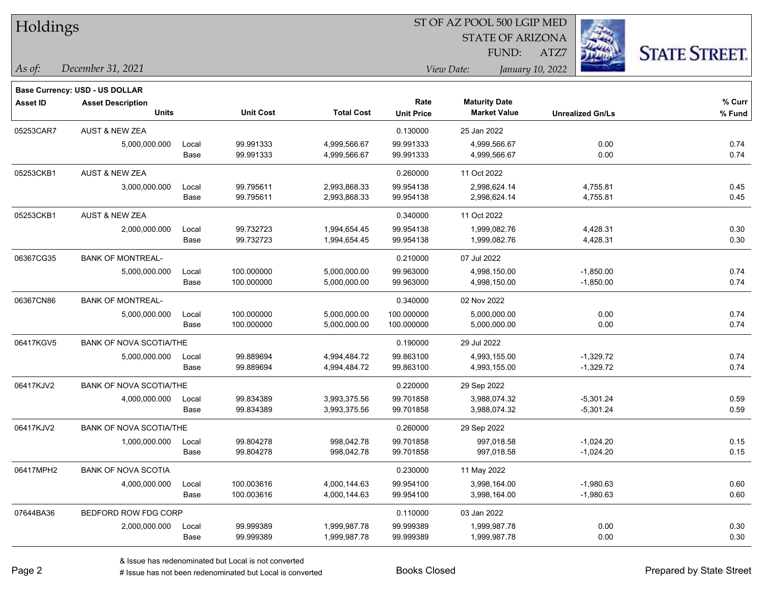| Holdings        |                                |       |                  |                   | ST OF AZ POOL 500 LGIP MED<br><b>STATE OF ARIZONA</b> |                      |                         |                      |  |  |  |
|-----------------|--------------------------------|-------|------------------|-------------------|-------------------------------------------------------|----------------------|-------------------------|----------------------|--|--|--|
|                 |                                |       |                  |                   |                                                       | FUND:                | ATZ7                    |                      |  |  |  |
| As of:          | December 31, 2021              |       |                  |                   |                                                       | View Date:           | January 10, 2022        | <b>STATE STREET.</b> |  |  |  |
|                 | Base Currency: USD - US DOLLAR |       |                  |                   |                                                       |                      |                         |                      |  |  |  |
| <b>Asset ID</b> | <b>Asset Description</b>       |       |                  |                   | Rate                                                  | <b>Maturity Date</b> |                         | % Curr               |  |  |  |
|                 | <b>Units</b>                   |       | <b>Unit Cost</b> | <b>Total Cost</b> | <b>Unit Price</b>                                     | <b>Market Value</b>  | <b>Unrealized Gn/Ls</b> | % Fund               |  |  |  |
| 05253CAR7       | <b>AUST &amp; NEW ZEA</b>      |       |                  |                   | 0.130000                                              | 25 Jan 2022          |                         |                      |  |  |  |
|                 | 5,000,000.000                  | Local | 99.991333        | 4,999,566.67      | 99.991333                                             | 4,999,566.67         | 0.00                    | 0.74                 |  |  |  |
|                 |                                | Base  | 99.991333        | 4,999,566.67      | 99.991333                                             | 4,999,566.67         | 0.00                    | 0.74                 |  |  |  |
| 05253CKB1       | <b>AUST &amp; NEW ZEA</b>      |       |                  |                   | 0.260000                                              | 11 Oct 2022          |                         |                      |  |  |  |
|                 | 3,000,000.000                  | Local | 99.795611        | 2,993,868.33      | 99.954138                                             | 2,998,624.14         | 4,755.81                | 0.45                 |  |  |  |
|                 |                                | Base  | 99.795611        | 2,993,868.33      | 99.954138                                             | 2,998,624.14         | 4,755.81                | 0.45                 |  |  |  |
| 05253CKB1       | <b>AUST &amp; NEW ZEA</b>      |       |                  |                   | 0.340000                                              | 11 Oct 2022          |                         |                      |  |  |  |
|                 | 2,000,000.000                  | Local | 99.732723        | 1,994,654.45      | 99.954138                                             | 1,999,082.76         | 4,428.31                | 0.30                 |  |  |  |
|                 |                                | Base  | 99.732723        | 1,994,654.45      | 99.954138                                             | 1,999,082.76         | 4,428.31                | 0.30                 |  |  |  |
| 06367CG35       | <b>BANK OF MONTREAL-</b>       |       |                  |                   | 0.210000                                              | 07 Jul 2022          |                         |                      |  |  |  |
|                 | 5,000,000.000                  | Local | 100.000000       | 5,000,000.00      | 99.963000                                             | 4,998,150.00         | $-1,850.00$             | 0.74                 |  |  |  |
|                 |                                | Base  | 100.000000       | 5,000,000.00      | 99.963000                                             | 4,998,150.00         | $-1,850.00$             | 0.74                 |  |  |  |
| 06367CN86       | <b>BANK OF MONTREAL-</b>       |       |                  |                   | 0.340000                                              | 02 Nov 2022          |                         |                      |  |  |  |
|                 | 5,000,000.000                  | Local | 100.000000       | 5,000,000.00      | 100.000000                                            | 5,000,000.00         | 0.00                    | 0.74                 |  |  |  |
|                 |                                | Base  | 100.000000       | 5,000,000.00      | 100.000000                                            | 5,000,000.00         | 0.00                    | 0.74                 |  |  |  |
| 06417KGV5       | BANK OF NOVA SCOTIA/THE        |       |                  |                   | 0.190000                                              | 29 Jul 2022          |                         |                      |  |  |  |
|                 | 5,000,000.000                  | Local | 99.889694        | 4,994,484.72      | 99.863100                                             | 4,993,155.00         | $-1,329.72$             | 0.74                 |  |  |  |
|                 |                                | Base  | 99.889694        | 4,994,484.72      | 99.863100                                             | 4,993,155.00         | $-1,329.72$             | 0.74                 |  |  |  |
| 06417KJV2       | BANK OF NOVA SCOTIA/THE        |       |                  |                   | 0.220000                                              | 29 Sep 2022          |                         |                      |  |  |  |
|                 | 4,000,000.000                  | Local | 99.834389        | 3,993,375.56      | 99.701858                                             | 3,988,074.32         | $-5,301.24$             | 0.59                 |  |  |  |
|                 |                                | Base  | 99.834389        | 3,993,375.56      | 99.701858                                             | 3,988,074.32         | $-5,301.24$             | 0.59                 |  |  |  |
| 06417KJV2       | <b>BANK OF NOVA SCOTIA/THE</b> |       |                  |                   | 0.260000                                              | 29 Sep 2022          |                         |                      |  |  |  |
|                 | 1,000,000.000                  | Local | 99.804278        | 998,042.78        | 99.701858                                             | 997,018.58           | $-1,024.20$             | 0.15                 |  |  |  |
|                 |                                | Base  | 99.804278        | 998,042.78        | 99.701858                                             | 997,018.58           | $-1,024.20$             | 0.15                 |  |  |  |
| 06417MPH2       | <b>BANK OF NOVA SCOTIA</b>     |       |                  |                   | 0.230000                                              | 11 May 2022          |                         |                      |  |  |  |
|                 | 4,000,000.000                  | Local | 100.003616       | 4,000,144.63      | 99.954100                                             | 3,998,164.00         | $-1,980.63$             | 0.60                 |  |  |  |
|                 |                                | Base  | 100.003616       | 4,000,144.63      | 99.954100                                             | 3,998,164.00         | $-1,980.63$             | 0.60                 |  |  |  |
| 07644BA36       | BEDFORD ROW FDG CORP           |       |                  |                   | 0.110000                                              | 03 Jan 2022          |                         |                      |  |  |  |
|                 | 2,000,000.000                  | Local | 99.999389        | 1,999,987.78      | 99.999389                                             | 1,999,987.78         | 0.00                    | 0.30                 |  |  |  |
|                 |                                | Base  | 99.999389        | 1,999,987.78      | 99.999389                                             | 1,999,987.78         | 0.00                    | 0.30                 |  |  |  |

# $TT = 1.11$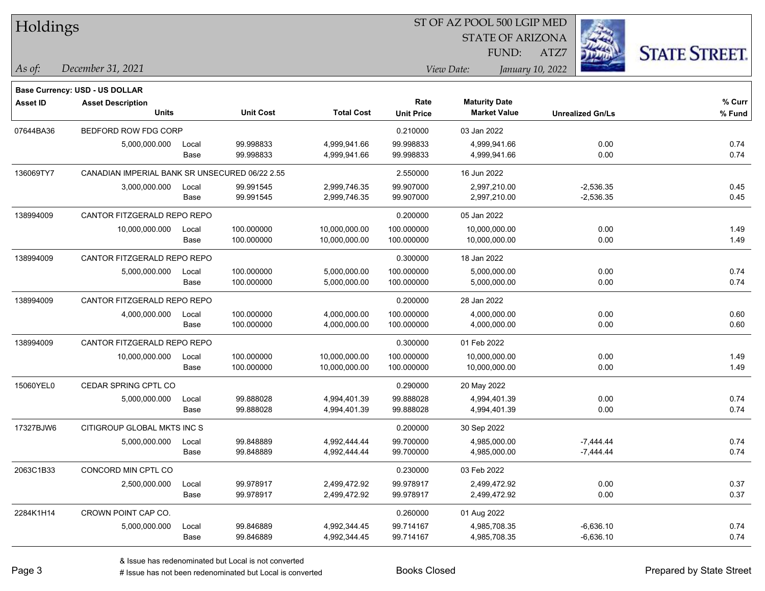| Holdings        |                                                |       |                  |                   | ST OF AZ POOL 500 LGIP MED |                         |                         |                      |
|-----------------|------------------------------------------------|-------|------------------|-------------------|----------------------------|-------------------------|-------------------------|----------------------|
|                 |                                                |       |                  |                   |                            | <b>STATE OF ARIZONA</b> |                         |                      |
|                 |                                                |       |                  |                   |                            | FUND:                   | ATZ7                    | <b>STATE STREET.</b> |
| $ $ As of:      | December 31, 2021                              |       |                  |                   |                            | View Date:              | January 10, 2022        |                      |
|                 |                                                |       |                  |                   |                            |                         |                         |                      |
|                 | Base Currency: USD - US DOLLAR                 |       |                  |                   | Rate                       | <b>Maturity Date</b>    |                         | % Curr               |
| <b>Asset ID</b> | <b>Asset Description</b><br><b>Units</b>       |       | <b>Unit Cost</b> | <b>Total Cost</b> | <b>Unit Price</b>          | <b>Market Value</b>     | <b>Unrealized Gn/Ls</b> | % Fund               |
| 07644BA36       | BEDFORD ROW FDG CORP                           |       |                  |                   | 0.210000                   | 03 Jan 2022             |                         |                      |
|                 | 5,000,000.000                                  | Local | 99.998833        | 4,999,941.66      | 99.998833                  | 4,999,941.66            | 0.00                    | 0.74                 |
|                 |                                                | Base  | 99.998833        | 4,999,941.66      | 99.998833                  | 4,999,941.66            | 0.00                    | 0.74                 |
| 136069TY7       | CANADIAN IMPERIAL BANK SR UNSECURED 06/22 2.55 |       |                  |                   | 2.550000                   | 16 Jun 2022             |                         |                      |
|                 | 3,000,000.000                                  | Local | 99.991545        | 2,999,746.35      | 99.907000                  | 2,997,210.00            | $-2,536.35$             | 0.45                 |
|                 |                                                | Base  | 99.991545        | 2,999,746.35      | 99.907000                  | 2,997,210.00            | $-2,536.35$             | 0.45                 |
| 138994009       | CANTOR FITZGERALD REPO REPO                    |       |                  |                   | 0.200000                   | 05 Jan 2022             |                         |                      |
|                 | 10,000,000.000                                 | Local | 100.000000       | 10,000,000.00     | 100.000000                 | 10,000,000.00           | 0.00                    | 1.49                 |
|                 |                                                | Base  | 100.000000       | 10,000,000.00     | 100.000000                 | 10,000,000.00           | 0.00                    | 1.49                 |
| 138994009       | CANTOR FITZGERALD REPO REPO                    |       |                  |                   | 0.300000                   | 18 Jan 2022             |                         |                      |
|                 | 5,000,000.000                                  | Local | 100.000000       | 5,000,000.00      | 100.000000                 | 5,000,000.00            | 0.00                    | 0.74                 |
|                 |                                                | Base  | 100.000000       | 5,000,000.00      | 100.000000                 | 5,000,000.00            | 0.00                    | 0.74                 |
| 138994009       | CANTOR FITZGERALD REPO REPO                    |       |                  |                   | 0.200000                   | 28 Jan 2022             |                         |                      |
|                 | 4,000,000.000                                  | Local | 100.000000       | 4,000,000.00      | 100.000000                 | 4,000,000.00            | 0.00                    | 0.60                 |
|                 |                                                | Base  | 100.000000       | 4,000,000.00      | 100.000000                 | 4,000,000.00            | 0.00                    | 0.60                 |
| 138994009       | CANTOR FITZGERALD REPO REPO                    |       |                  |                   | 0.300000                   | 01 Feb 2022             |                         |                      |
|                 | 10,000,000.000                                 | Local | 100.000000       | 10,000,000.00     | 100.000000                 | 10,000,000.00           | 0.00                    | 1.49                 |
|                 |                                                | Base  | 100.000000       | 10,000,000.00     | 100.000000                 | 10,000,000.00           | 0.00                    | 1.49                 |
| 15060YEL0       | CEDAR SPRING CPTL CO                           |       |                  |                   | 0.290000                   | 20 May 2022             |                         |                      |
|                 | 5,000,000.000                                  | Local | 99.888028        | 4,994,401.39      | 99.888028                  | 4,994,401.39            | 0.00                    | 0.74                 |
|                 |                                                | Base  | 99.888028        | 4,994,401.39      | 99.888028                  | 4,994,401.39            | 0.00                    | 0.74                 |
| 17327BJW6       | CITIGROUP GLOBAL MKTS INC S                    |       |                  |                   | 0.200000                   | 30 Sep 2022             |                         |                      |
|                 | 5,000,000.000                                  | Local | 99.848889        | 4,992,444.44      | 99.700000                  | 4,985,000.00            | $-7,444.44$             | 0.74                 |
|                 |                                                | Base  | 99.848889        | 4,992,444.44      | 99.700000                  | 4,985,000.00            | $-7,444.44$             | 0.74                 |
| 2063C1B33       | CONCORD MIN CPTL CO                            |       |                  |                   | 0.230000                   | 03 Feb 2022             |                         |                      |
|                 | 2,500,000.000                                  | Local | 99.978917        | 2,499,472.92      | 99.978917                  | 2,499,472.92            | 0.00                    | 0.37                 |
|                 |                                                | Base  | 99.978917        | 2,499,472.92      | 99.978917                  | 2,499,472.92            | 0.00                    | 0.37                 |
| 2284K1H14       | CROWN POINT CAP CO.                            |       |                  |                   | 0.260000                   | 01 Aug 2022             |                         |                      |
|                 | 5,000,000.000                                  | Local | 99.846889        | 4,992,344.45      | 99.714167                  | 4,985,708.35            | $-6,636.10$             | 0.74                 |
|                 |                                                | Base  | 99.846889        | 4,992,344.45      | 99.714167                  | 4,985,708.35            | $-6,636.10$             | 0.74                 |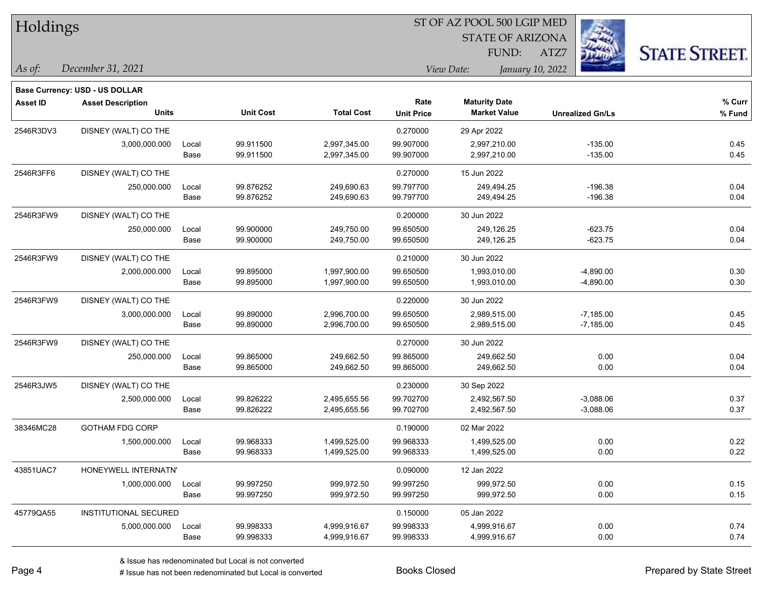| Holdings        |                                       |       |                  |                   |                   |                         |                         |                      |
|-----------------|---------------------------------------|-------|------------------|-------------------|-------------------|-------------------------|-------------------------|----------------------|
|                 |                                       |       |                  |                   |                   | <b>STATE OF ARIZONA</b> |                         |                      |
|                 |                                       |       |                  |                   |                   | FUND:                   | ATZ7                    | <b>STATE STREET.</b> |
| As of:          | December 31, 2021                     |       |                  |                   |                   | View Date:              | January 10, 2022        |                      |
|                 | <b>Base Currency: USD - US DOLLAR</b> |       |                  |                   |                   |                         |                         |                      |
| <b>Asset ID</b> | <b>Asset Description</b>              |       |                  |                   | Rate              | <b>Maturity Date</b>    |                         | % Curr               |
|                 | <b>Units</b>                          |       | <b>Unit Cost</b> | <b>Total Cost</b> | <b>Unit Price</b> | <b>Market Value</b>     | <b>Unrealized Gn/Ls</b> | % Fund               |
| 2546R3DV3       | DISNEY (WALT) CO THE                  |       |                  |                   | 0.270000          | 29 Apr 2022             |                         |                      |
|                 | 3,000,000.000                         | Local | 99.911500        | 2,997,345.00      | 99.907000         | 2,997,210.00            | $-135.00$               | 0.45                 |
|                 |                                       | Base  | 99.911500        | 2,997,345.00      | 99.907000         | 2,997,210.00            | $-135.00$               | 0.45                 |
| 2546R3FF6       | DISNEY (WALT) CO THE                  |       |                  |                   | 0.270000          | 15 Jun 2022             |                         |                      |
|                 | 250,000.000                           | Local | 99.876252        | 249,690.63        | 99.797700         | 249,494.25              | $-196.38$               | 0.04                 |
|                 |                                       | Base  | 99.876252        | 249,690.63        | 99.797700         | 249,494.25              | $-196.38$               | 0.04                 |
| 2546R3FW9       | DISNEY (WALT) CO THE                  |       |                  |                   | 0.200000          | 30 Jun 2022             |                         |                      |
|                 | 250,000.000                           | Local | 99.900000        | 249,750.00        | 99.650500         | 249,126.25              | $-623.75$               | 0.04                 |
|                 |                                       | Base  | 99.900000        | 249,750.00        | 99.650500         | 249,126.25              | $-623.75$               | 0.04                 |
| 2546R3FW9       | DISNEY (WALT) CO THE                  |       |                  |                   | 0.210000          | 30 Jun 2022             |                         |                      |
|                 | 2,000,000.000                         | Local | 99.895000        | 1,997,900.00      | 99.650500         | 1,993,010.00            | $-4,890.00$             | 0.30                 |
|                 |                                       | Base  | 99.895000        | 1,997,900.00      | 99.650500         | 1,993,010.00            | $-4,890.00$             | 0.30                 |
| 2546R3FW9       | DISNEY (WALT) CO THE                  |       |                  |                   | 0.220000          | 30 Jun 2022             |                         |                      |
|                 | 3,000,000.000                         | Local | 99.890000        | 2,996,700.00      | 99.650500         | 2,989,515.00            | $-7,185.00$             | 0.45                 |
|                 |                                       | Base  | 99.890000        | 2,996,700.00      | 99.650500         | 2,989,515.00            | $-7,185.00$             | 0.45                 |
| 2546R3FW9       | DISNEY (WALT) CO THE                  |       |                  |                   | 0.270000          | 30 Jun 2022             |                         |                      |
|                 | 250,000.000                           | Local | 99.865000        | 249,662.50        | 99.865000         | 249,662.50              | 0.00                    | 0.04                 |
|                 |                                       | Base  | 99.865000        | 249,662.50        | 99.865000         | 249,662.50              | 0.00                    | 0.04                 |
| 2546R3JW5       | DISNEY (WALT) CO THE                  |       |                  |                   | 0.230000          | 30 Sep 2022             |                         |                      |
|                 | 2,500,000.000                         | Local | 99.826222        | 2,495,655.56      | 99.702700         | 2,492,567.50            | $-3,088.06$             | 0.37                 |
|                 |                                       | Base  | 99.826222        | 2,495,655.56      | 99.702700         | 2,492,567.50            | $-3,088.06$             | 0.37                 |
| 38346MC28       | <b>GOTHAM FDG CORP</b>                |       |                  |                   | 0.190000          | 02 Mar 2022             |                         |                      |
|                 | 1,500,000.000                         | Local | 99.968333        | 1,499,525.00      | 99.968333         | 1,499,525.00            | 0.00                    | 0.22                 |
|                 |                                       | Base  | 99.968333        | 1,499,525.00      | 99.968333         | 1,499,525.00            | 0.00                    | 0.22                 |
| 43851UAC7       | HONEYWELL INTERNATN'                  |       |                  |                   | 0.090000          | 12 Jan 2022             |                         |                      |
|                 | 1,000,000.000                         | Local | 99.997250        | 999,972.50        | 99.997250         | 999,972.50              | 0.00                    | 0.15                 |
|                 |                                       | Base  | 99.997250        | 999,972.50        | 99.997250         | 999,972.50              | 0.00                    | 0.15                 |
| 45779QA55       | INSTITUTIONAL SECURED                 |       |                  |                   | 0.150000          | 05 Jan 2022             |                         |                      |
|                 | 5,000,000.000                         | Local | 99.998333        | 4,999,916.67      | 99.998333         | 4,999,916.67            | 0.00                    | 0.74                 |
|                 |                                       | Base  | 99.998333        | 4,999,916.67      | 99.998333         | 4,999,916.67            | 0.00                    | 0.74                 |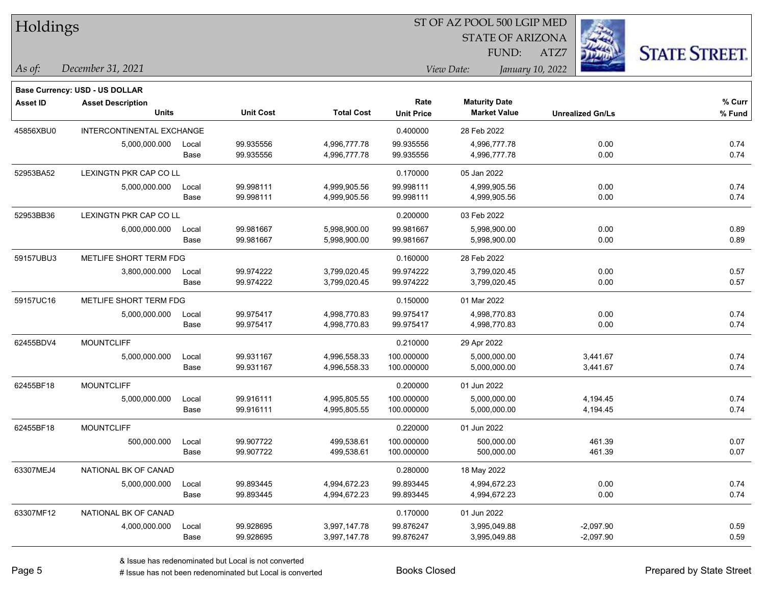| Holdings        |                                       |       |                  |                   | 51 OF AZ POOL 500 LGIP MED |                         |                         |                      |  |  |
|-----------------|---------------------------------------|-------|------------------|-------------------|----------------------------|-------------------------|-------------------------|----------------------|--|--|
|                 |                                       |       |                  |                   |                            | <b>STATE OF ARIZONA</b> |                         |                      |  |  |
|                 |                                       |       |                  |                   |                            | FUND:                   | ATZ7                    | <b>STATE STREET.</b> |  |  |
| As of:          | December 31, 2021                     |       |                  |                   |                            | View Date:              | January 10, 2022        |                      |  |  |
|                 | <b>Base Currency: USD - US DOLLAR</b> |       |                  |                   |                            |                         |                         |                      |  |  |
| <b>Asset ID</b> | <b>Asset Description</b>              |       |                  |                   | Rate                       | <b>Maturity Date</b>    |                         | % Curr               |  |  |
|                 | <b>Units</b>                          |       | <b>Unit Cost</b> | <b>Total Cost</b> | <b>Unit Price</b>          | <b>Market Value</b>     | <b>Unrealized Gn/Ls</b> | % Fund               |  |  |
| 45856XBU0       | INTERCONTINENTAL EXCHANGE             |       |                  |                   | 0.400000                   | 28 Feb 2022             |                         |                      |  |  |
|                 | 5,000,000.000                         | Local | 99.935556        | 4,996,777.78      | 99.935556                  | 4,996,777.78            | 0.00                    | 0.74                 |  |  |
|                 |                                       | Base  | 99.935556        | 4,996,777.78      | 99.935556                  | 4,996,777.78            | 0.00                    | 0.74                 |  |  |
| 52953BA52       | LEXINGTN PKR CAP CO LL                |       |                  |                   | 0.170000                   | 05 Jan 2022             |                         |                      |  |  |
|                 | 5,000,000.000                         | Local | 99.998111        | 4,999,905.56      | 99.998111                  | 4,999,905.56            | 0.00                    | 0.74                 |  |  |
|                 |                                       | Base  | 99.998111        | 4,999,905.56      | 99.998111                  | 4,999,905.56            | 0.00                    | 0.74                 |  |  |
| 52953BB36       | LEXINGTN PKR CAP CO LL                |       |                  |                   | 0.200000                   | 03 Feb 2022             |                         |                      |  |  |
|                 | 6,000,000.000                         | Local | 99.981667        | 5,998,900.00      | 99.981667                  | 5,998,900.00            | 0.00                    | 0.89                 |  |  |
|                 |                                       | Base  | 99.981667        | 5,998,900.00      | 99.981667                  | 5,998,900.00            | 0.00                    | 0.89                 |  |  |
| 59157UBU3       | METLIFE SHORT TERM FDG                |       |                  |                   | 0.160000                   | 28 Feb 2022             |                         |                      |  |  |
|                 | 3,800,000.000                         | Local | 99.974222        | 3,799,020.45      | 99.974222                  | 3,799,020.45            | 0.00                    | 0.57                 |  |  |
|                 |                                       | Base  | 99.974222        | 3,799,020.45      | 99.974222                  | 3,799,020.45            | 0.00                    | 0.57                 |  |  |
| 59157UC16       | METLIFE SHORT TERM FDG                |       |                  |                   | 0.150000                   | 01 Mar 2022             |                         |                      |  |  |
|                 | 5,000,000.000                         | Local | 99.975417        | 4,998,770.83      | 99.975417                  | 4,998,770.83            | 0.00                    | 0.74                 |  |  |
|                 |                                       | Base  | 99.975417        | 4,998,770.83      | 99.975417                  | 4,998,770.83            | 0.00                    | 0.74                 |  |  |
| 62455BDV4       | <b>MOUNTCLIFF</b>                     |       |                  |                   | 0.210000                   | 29 Apr 2022             |                         |                      |  |  |
|                 | 5,000,000.000                         | Local | 99.931167        | 4,996,558.33      | 100.000000                 | 5,000,000.00            | 3,441.67                | 0.74                 |  |  |
|                 |                                       | Base  | 99.931167        | 4,996,558.33      | 100.000000                 | 5,000,000.00            | 3,441.67                | 0.74                 |  |  |
| 62455BF18       | <b>MOUNTCLIFF</b>                     |       |                  |                   | 0.200000                   | 01 Jun 2022             |                         |                      |  |  |
|                 | 5,000,000.000                         | Local | 99.916111        | 4,995,805.55      | 100.000000                 | 5,000,000.00            | 4,194.45                | 0.74                 |  |  |
|                 |                                       | Base  | 99.916111        | 4,995,805.55      | 100.000000                 | 5,000,000.00            | 4,194.45                | 0.74                 |  |  |
| 62455BF18       | <b>MOUNTCLIFF</b>                     |       |                  |                   | 0.220000                   | 01 Jun 2022             |                         |                      |  |  |
|                 | 500,000.000                           | Local | 99.907722        | 499,538.61        | 100.000000                 | 500,000.00              | 461.39                  | 0.07                 |  |  |
|                 |                                       | Base  | 99.907722        | 499,538.61        | 100.000000                 | 500,000.00              | 461.39                  | 0.07                 |  |  |
| 63307MEJ4       | NATIONAL BK OF CANAD                  |       |                  |                   | 0.280000                   | 18 May 2022             |                         |                      |  |  |
|                 | 5,000,000.000                         | Local | 99.893445        | 4,994,672.23      | 99.893445                  | 4,994,672.23            | 0.00                    | 0.74                 |  |  |
|                 |                                       | Base  | 99.893445        | 4,994,672.23      | 99.893445                  | 4,994,672.23            | 0.00                    | 0.74                 |  |  |
| 63307MF12       | NATIONAL BK OF CANAD                  |       |                  |                   | 0.170000                   | 01 Jun 2022             |                         |                      |  |  |
|                 | 4,000,000.000                         | Local | 99.928695        | 3,997,147.78      | 99.876247                  | 3,995,049.88            | $-2,097.90$             | 0.59                 |  |  |
|                 |                                       | Base  | 99.928695        | 3,997,147.78      | 99.876247                  | 3,995,049.88            | $-2,097.90$             | 0.59                 |  |  |

 $\overline{\text{S}}$  of  $\overline{\text{S}}$  and  $\overline{\text{S}}$  and  $\overline{\text{S}}$  and  $\overline{\text{S}}$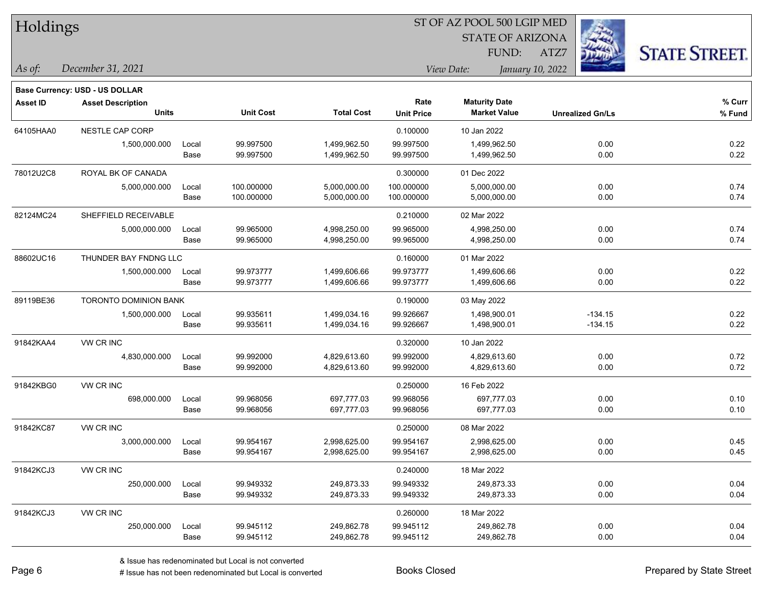| Holdings |  |  |
|----------|--|--|
|          |  |  |

STATE OF ARIZONA FUND:

ATZ7



*December 31, 2021 As of: View Date: January 10, 2022*

|                 | <b>Base Currency: USD - US DOLLAR</b> |       |                  |                   |                   |                      |                         |        |
|-----------------|---------------------------------------|-------|------------------|-------------------|-------------------|----------------------|-------------------------|--------|
| <b>Asset ID</b> | <b>Asset Description</b>              |       |                  |                   | Rate              | <b>Maturity Date</b> |                         | % Curr |
|                 | <b>Units</b>                          |       | <b>Unit Cost</b> | <b>Total Cost</b> | <b>Unit Price</b> | <b>Market Value</b>  | <b>Unrealized Gn/Ls</b> | % Fund |
| 64105HAA0       | NESTLE CAP CORP                       |       |                  |                   | 0.100000          | 10 Jan 2022          |                         |        |
|                 | 1,500,000.000                         | Local | 99.997500        | 1,499,962.50      | 99.997500         | 1,499,962.50         | 0.00                    | 0.22   |
|                 |                                       | Base  | 99.997500        | 1,499,962.50      | 99.997500         | 1,499,962.50         | 0.00                    | 0.22   |
| 78012U2C8       | ROYAL BK OF CANADA                    |       |                  |                   | 0.300000          | 01 Dec 2022          |                         |        |
|                 | 5,000,000.000                         | Local | 100.000000       | 5,000,000.00      | 100.000000        | 5,000,000.00         | 0.00                    | 0.74   |
|                 |                                       | Base  | 100.000000       | 5,000,000.00      | 100.000000        | 5,000,000.00         | 0.00                    | 0.74   |
| 82124MC24       | SHEFFIELD RECEIVABLE                  |       |                  |                   | 0.210000          | 02 Mar 2022          |                         |        |
|                 | 5,000,000.000                         | Local | 99.965000        | 4,998,250.00      | 99.965000         | 4,998,250.00         | 0.00                    | 0.74   |
|                 |                                       | Base  | 99.965000        | 4,998,250.00      | 99.965000         | 4,998,250.00         | 0.00                    | 0.74   |
| 88602UC16       | THUNDER BAY FNDNG LLC                 |       |                  |                   | 0.160000          | 01 Mar 2022          |                         |        |
|                 | 1,500,000.000                         | Local | 99.973777        | 1,499,606.66      | 99.973777         | 1,499,606.66         | 0.00                    | 0.22   |
|                 |                                       | Base  | 99.973777        | 1,499,606.66      | 99.973777         | 1,499,606.66         | 0.00                    | 0.22   |
| 89119BE36       | TORONTO DOMINION BANK                 |       |                  |                   | 0.190000          | 03 May 2022          |                         |        |
|                 | 1,500,000.000                         | Local | 99.935611        | 1,499,034.16      | 99.926667         | 1,498,900.01         | $-134.15$               | 0.22   |
|                 |                                       | Base  | 99.935611        | 1,499,034.16      | 99.926667         | 1,498,900.01         | $-134.15$               | 0.22   |
| 91842KAA4       | VW CR INC                             |       |                  |                   | 0.320000          | 10 Jan 2022          |                         |        |
|                 | 4,830,000.000                         | Local | 99.992000        | 4,829,613.60      | 99.992000         | 4,829,613.60         | 0.00                    | 0.72   |
|                 |                                       | Base  | 99.992000        | 4,829,613.60      | 99.992000         | 4,829,613.60         | 0.00                    | 0.72   |
| 91842KBG0       | VW CR INC                             |       |                  |                   | 0.250000          | 16 Feb 2022          |                         |        |
|                 | 698,000.000                           | Local | 99.968056        | 697,777.03        | 99.968056         | 697,777.03           | 0.00                    | 0.10   |
|                 |                                       | Base  | 99.968056        | 697,777.03        | 99.968056         | 697,777.03           | 0.00                    | 0.10   |
| 91842KC87       | VW CR INC                             |       |                  |                   | 0.250000          | 08 Mar 2022          |                         |        |
|                 | 3,000,000.000                         | Local | 99.954167        | 2,998,625.00      | 99.954167         | 2,998,625.00         | 0.00                    | 0.45   |
|                 |                                       | Base  | 99.954167        | 2,998,625.00      | 99.954167         | 2,998,625.00         | 0.00                    | 0.45   |
| 91842KCJ3       | VW CR INC                             |       |                  |                   | 0.240000          | 18 Mar 2022          |                         |        |
|                 | 250,000.000                           | Local | 99.949332        | 249,873.33        | 99.949332         | 249,873.33           | 0.00                    | 0.04   |
|                 |                                       | Base  | 99.949332        | 249,873.33        | 99.949332         | 249,873.33           | 0.00                    | 0.04   |
| 91842KCJ3       | VW CR INC                             |       |                  |                   | 0.260000          | 18 Mar 2022          |                         |        |
|                 | 250,000.000                           | Local | 99.945112        | 249,862.78        | 99.945112         | 249,862.78           | 0.00                    | 0.04   |
|                 |                                       | Base  | 99.945112        | 249,862.78        | 99.945112         | 249,862.78           | 0.00                    | 0.04   |
|                 |                                       |       |                  |                   |                   |                      |                         |        |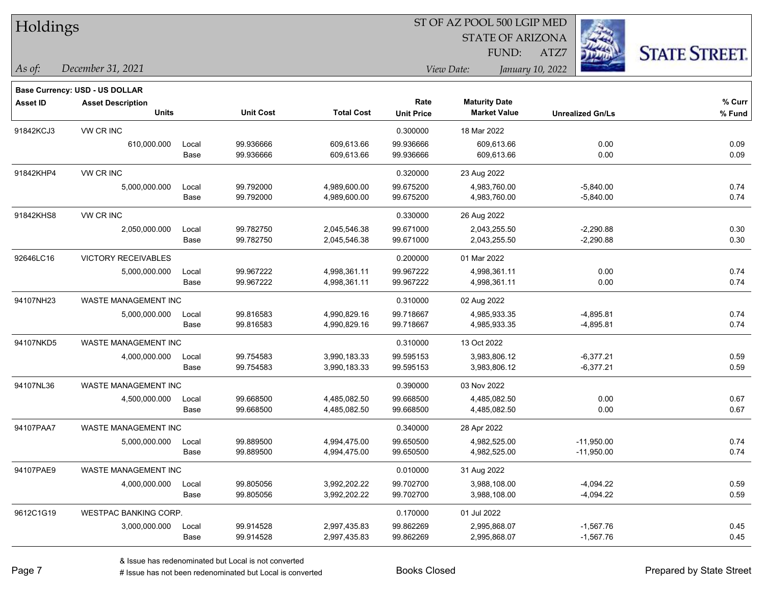|  |  | Holdings |
|--|--|----------|
|--|--|----------|

STATE OF ARIZONA

ATZ7



*December 31, 2021 As of: View Date: January 10, 2022*

**Base Currency: USD - US DOLLAR**

| Asset ID  | <b>Asset Description</b>     |       |                  |                   | Rate              | <b>Maturity Date</b> |                         | % Curr |
|-----------|------------------------------|-------|------------------|-------------------|-------------------|----------------------|-------------------------|--------|
|           | <b>Units</b>                 |       | <b>Unit Cost</b> | <b>Total Cost</b> | <b>Unit Price</b> | <b>Market Value</b>  | <b>Unrealized Gn/Ls</b> | % Fund |
| 91842KCJ3 | VW CR INC                    |       |                  |                   | 0.300000          | 18 Mar 2022          |                         |        |
|           | 610,000.000                  | Local | 99.936666        | 609,613.66        | 99.936666         | 609,613.66           | 0.00                    | 0.09   |
|           |                              | Base  | 99.936666        | 609,613.66        | 99.936666         | 609,613.66           | 0.00                    | 0.09   |
| 91842KHP4 | VW CR INC                    |       |                  |                   | 0.320000          | 23 Aug 2022          |                         |        |
|           | 5,000,000.000                | Local | 99.792000        | 4,989,600.00      | 99.675200         | 4,983,760.00         | $-5,840.00$             | 0.74   |
|           |                              | Base  | 99.792000        | 4,989,600.00      | 99.675200         | 4,983,760.00         | $-5,840.00$             | 0.74   |
| 91842KHS8 | VW CR INC                    |       |                  |                   | 0.330000          | 26 Aug 2022          |                         |        |
|           | 2,050,000.000                | Local | 99.782750        | 2,045,546.38      | 99.671000         | 2,043,255.50         | $-2,290.88$             | 0.30   |
|           |                              | Base  | 99.782750        | 2,045,546.38      | 99.671000         | 2,043,255.50         | $-2,290.88$             | 0.30   |
| 92646LC16 | VICTORY RECEIVABLES          |       |                  |                   | 0.200000          | 01 Mar 2022          |                         |        |
|           | 5,000,000.000                | Local | 99.967222        | 4,998,361.11      | 99.967222         | 4,998,361.11         | 0.00                    | 0.74   |
|           |                              | Base  | 99.967222        | 4,998,361.11      | 99.967222         | 4,998,361.11         | 0.00                    | 0.74   |
| 94107NH23 | <b>WASTE MANAGEMENT INC</b>  |       |                  |                   | 0.310000          | 02 Aug 2022          |                         |        |
|           | 5,000,000.000                | Local | 99.816583        | 4,990,829.16      | 99.718667         | 4,985,933.35         | $-4,895.81$             | 0.74   |
|           |                              | Base  | 99.816583        | 4,990,829.16      | 99.718667         | 4,985,933.35         | $-4,895.81$             | 0.74   |
| 94107NKD5 | WASTE MANAGEMENT INC         |       |                  |                   | 0.310000          | 13 Oct 2022          |                         |        |
|           | 4,000,000.000                | Local | 99.754583        | 3,990,183.33      | 99.595153         | 3,983,806.12         | $-6,377.21$             | 0.59   |
|           |                              | Base  | 99.754583        | 3,990,183.33      | 99.595153         | 3,983,806.12         | $-6,377.21$             | 0.59   |
| 94107NL36 | <b>WASTE MANAGEMENT INC</b>  |       |                  |                   | 0.390000          | 03 Nov 2022          |                         |        |
|           | 4,500,000.000                | Local | 99.668500        | 4,485,082.50      | 99.668500         | 4,485,082.50         | 0.00                    | 0.67   |
|           |                              | Base  | 99.668500        | 4,485,082.50      | 99.668500         | 4,485,082.50         | 0.00                    | 0.67   |
| 94107PAA7 | WASTE MANAGEMENT INC         |       |                  |                   | 0.340000          | 28 Apr 2022          |                         |        |
|           | 5,000,000.000                | Local | 99.889500        | 4,994,475.00      | 99.650500         | 4,982,525.00         | $-11,950.00$            | 0.74   |
|           |                              | Base  | 99.889500        | 4,994,475.00      | 99.650500         | 4,982,525.00         | $-11,950.00$            | 0.74   |
| 94107PAE9 | WASTE MANAGEMENT INC         |       |                  |                   | 0.010000          | 31 Aug 2022          |                         |        |
|           | 4,000,000.000                | Local | 99.805056        | 3,992,202.22      | 99.702700         | 3,988,108.00         | $-4,094.22$             | 0.59   |
|           |                              | Base  | 99.805056        | 3,992,202.22      | 99.702700         | 3,988,108.00         | $-4,094.22$             | 0.59   |
| 9612C1G19 | <b>WESTPAC BANKING CORP.</b> |       |                  |                   | 0.170000          | 01 Jul 2022          |                         |        |
|           | 3,000,000.000                | Local | 99.914528        | 2,997,435.83      | 99.862269         | 2,995,868.07         | $-1,567.76$             | 0.45   |
|           |                              | Base  | 99.914528        | 2,997,435.83      | 99.862269         | 2,995,868.07         | $-1,567.76$             | 0.45   |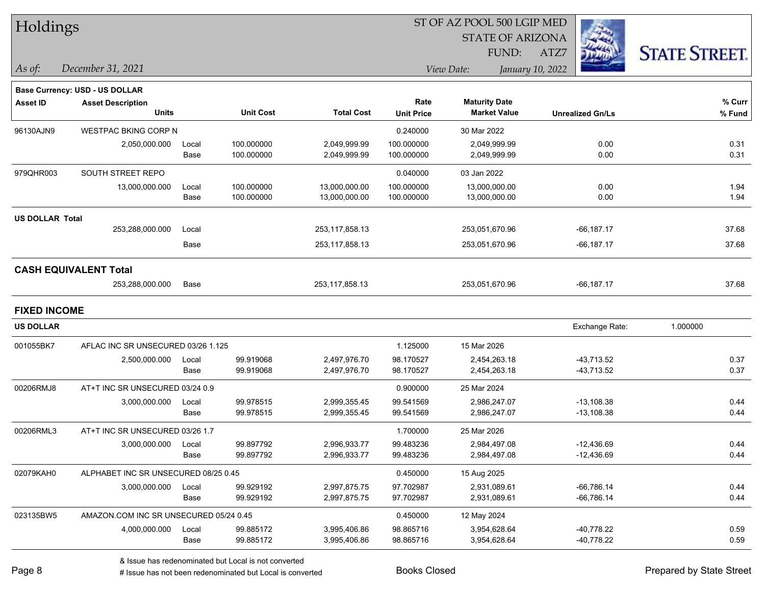| Holdings               |                                        |       |                  | ST OF AZ POOL 500 LGIP MED |                   |                         |                         |                      |  |  |
|------------------------|----------------------------------------|-------|------------------|----------------------------|-------------------|-------------------------|-------------------------|----------------------|--|--|
|                        |                                        |       |                  |                            |                   | <b>STATE OF ARIZONA</b> |                         |                      |  |  |
|                        |                                        |       |                  |                            |                   | FUND:                   | ATZ7                    | <b>STATE STREET.</b> |  |  |
| As of:                 | December 31, 2021                      |       |                  |                            |                   | View Date:              | January 10, 2022        |                      |  |  |
|                        | Base Currency: USD - US DOLLAR         |       |                  |                            |                   |                         |                         |                      |  |  |
| <b>Asset ID</b>        | <b>Asset Description</b>               |       |                  |                            | Rate              | <b>Maturity Date</b>    |                         | % Curr               |  |  |
|                        | Units                                  |       | <b>Unit Cost</b> | <b>Total Cost</b>          | <b>Unit Price</b> | <b>Market Value</b>     | <b>Unrealized Gn/Ls</b> | % Fund               |  |  |
| 96130AJN9              | <b>WESTPAC BKING CORP N</b>            |       |                  |                            | 0.240000          | 30 Mar 2022             |                         |                      |  |  |
|                        | 2,050,000.000                          | Local | 100.000000       | 2,049,999.99               | 100.000000        | 2,049,999.99            | 0.00                    | 0.31                 |  |  |
|                        |                                        | Base  | 100.000000       | 2,049,999.99               | 100.000000        | 2,049,999.99            | 0.00                    | 0.31                 |  |  |
| 979QHR003              | SOUTH STREET REPO                      |       |                  |                            | 0.040000          | 03 Jan 2022             |                         |                      |  |  |
|                        | 13,000,000.000                         | Local | 100.000000       | 13,000,000.00              | 100.000000        | 13,000,000.00           | 0.00                    | 1.94                 |  |  |
|                        |                                        | Base  | 100.000000       | 13,000,000.00              | 100.000000        | 13,000,000.00           | 0.00                    | 1.94                 |  |  |
| <b>US DOLLAR Total</b> |                                        |       |                  |                            |                   |                         |                         |                      |  |  |
|                        | 253,288,000.000                        | Local |                  | 253,117,858.13             |                   | 253,051,670.96          | $-66, 187.17$           | 37.68                |  |  |
|                        |                                        | Base  |                  | 253,117,858.13             |                   | 253,051,670.96          | $-66, 187.17$           | 37.68                |  |  |
|                        | <b>CASH EQUIVALENT Total</b>           |       |                  |                            |                   |                         |                         |                      |  |  |
|                        | 253,288,000.000                        | Base  |                  | 253,117,858.13             |                   | 253,051,670.96          | $-66, 187.17$           | 37.68                |  |  |
| <b>FIXED INCOME</b>    |                                        |       |                  |                            |                   |                         |                         |                      |  |  |
| <b>US DOLLAR</b>       |                                        |       |                  |                            |                   |                         | Exchange Rate:          | 1.000000             |  |  |
| 001055BK7              | AFLAC INC SR UNSECURED 03/26 1.125     |       |                  |                            | 1.125000          | 15 Mar 2026             |                         |                      |  |  |
|                        | 2,500,000.000                          | Local | 99.919068        | 2,497,976.70               | 98.170527         | 2,454,263.18            | $-43,713.52$            | 0.37                 |  |  |
|                        |                                        | Base  | 99.919068        | 2,497,976.70               | 98.170527         | 2,454,263.18            | $-43,713.52$            | 0.37                 |  |  |
| 00206RMJ8              | AT+T INC SR UNSECURED 03/24 0.9        |       |                  |                            | 0.900000          | 25 Mar 2024             |                         |                      |  |  |
|                        | 3,000,000.000                          | Local | 99.978515        | 2,999,355.45               | 99.541569         | 2,986,247.07            | $-13,108.38$            | 0.44                 |  |  |
|                        |                                        | Base  | 99.978515        | 2,999,355.45               | 99.541569         | 2,986,247.07            | $-13,108.38$            | 0.44                 |  |  |
| 00206RML3              | AT+T INC SR UNSECURED 03/26 1.7        |       |                  |                            | 1.700000          | 25 Mar 2026             |                         |                      |  |  |
|                        | 3,000,000.000                          | Local | 99.897792        | 2,996,933.77               | 99.483236         | 2,984,497.08            | $-12,436.69$            | 0.44                 |  |  |
|                        |                                        | Base  | 99.897792        | 2,996,933.77               | 99.483236         | 2,984,497.08            | $-12,436.69$            | 0.44                 |  |  |
| 02079KAH0              | ALPHABET INC SR UNSECURED 08/25 0.45   |       |                  |                            | 0.450000          | 15 Aug 2025             |                         |                      |  |  |
|                        | 3,000,000.000                          | Local | 99.929192        | 2,997,875.75               | 97.702987         | 2,931,089.61            | $-66,786.14$            | 0.44                 |  |  |
|                        |                                        | Base  | 99.929192        | 2,997,875.75               | 97.702987         | 2,931,089.61            | $-66,786.14$            | 0.44                 |  |  |
| 023135BW5              | AMAZON.COM INC SR UNSECURED 05/24 0.45 |       |                  |                            | 0.450000          | 12 May 2024             |                         |                      |  |  |
|                        | 4,000,000.000                          | Local | 99.885172        | 3,995,406.86               | 98.865716         | 3,954,628.64            | $-40,778.22$            | 0.59                 |  |  |
|                        |                                        | Base  | 99.885172        | 3,995,406.86               | 98.865716         | 3,954,628.64            | $-40,778.22$            | 0.59                 |  |  |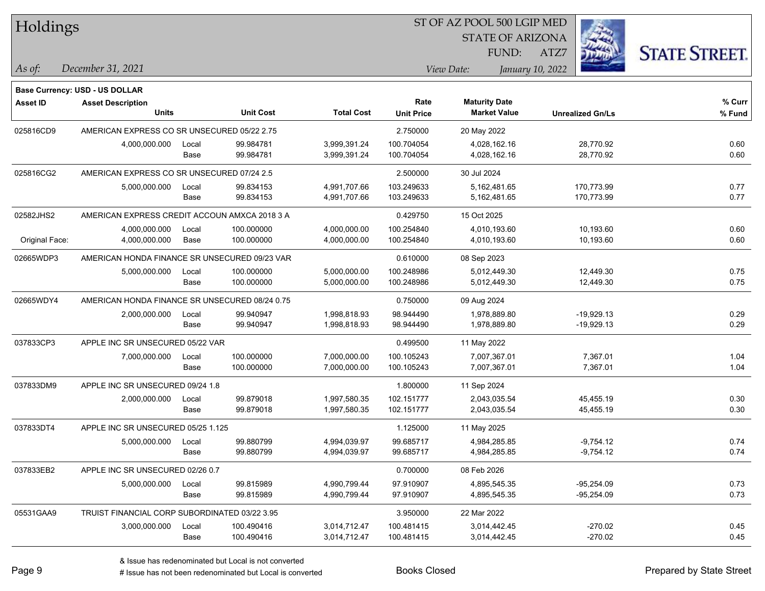| Holdings        |                                                |       |                  |                   |                   | ST OF AZ POOL 500 LGIP MED |                         |                      |
|-----------------|------------------------------------------------|-------|------------------|-------------------|-------------------|----------------------------|-------------------------|----------------------|
|                 |                                                |       |                  |                   |                   | <b>STATE OF ARIZONA</b>    |                         |                      |
|                 |                                                |       |                  |                   |                   | FUND:                      | ATZ7                    | <b>STATE STREET.</b> |
| As of:          | December 31, 2021                              |       |                  |                   |                   | View Date:                 | January 10, 2022        |                      |
|                 | Base Currency: USD - US DOLLAR                 |       |                  |                   |                   |                            |                         |                      |
| <b>Asset ID</b> | <b>Asset Description</b>                       |       |                  |                   | Rate              | <b>Maturity Date</b>       |                         | % Curr               |
|                 | <b>Units</b>                                   |       | <b>Unit Cost</b> | <b>Total Cost</b> | <b>Unit Price</b> | <b>Market Value</b>        | <b>Unrealized Gn/Ls</b> | % Fund               |
| 025816CD9       | AMERICAN EXPRESS CO SR UNSECURED 05/22 2.75    |       |                  |                   | 2.750000          | 20 May 2022                |                         |                      |
|                 | 4,000,000.000                                  | Local | 99.984781        | 3,999,391.24      | 100.704054        | 4,028,162.16               | 28,770.92               | 0.60                 |
|                 |                                                | Base  | 99.984781        | 3,999,391.24      | 100.704054        | 4,028,162.16               | 28,770.92               | 0.60                 |
| 025816CG2       | AMERICAN EXPRESS CO SR UNSECURED 07/24 2.5     |       |                  |                   | 2.500000          | 30 Jul 2024                |                         |                      |
|                 | 5,000,000.000                                  | Local | 99.834153        | 4,991,707.66      | 103.249633        | 5,162,481.65               | 170,773.99              | 0.77                 |
|                 |                                                | Base  | 99.834153        | 4,991,707.66      | 103.249633        | 5,162,481.65               | 170,773.99              | 0.77                 |
| 02582JHS2       | AMERICAN EXPRESS CREDIT ACCOUN AMXCA 2018 3 A  |       |                  |                   | 0.429750          | 15 Oct 2025                |                         |                      |
|                 | 4,000,000.000                                  | Local | 100.000000       | 4,000,000.00      | 100.254840        | 4,010,193.60               | 10,193.60               | 0.60                 |
| Original Face:  | 4,000,000.000                                  | Base  | 100.000000       | 4,000,000.00      | 100.254840        | 4,010,193.60               | 10,193.60               | 0.60                 |
| 02665WDP3       | AMERICAN HONDA FINANCE SR UNSECURED 09/23 VAR  |       |                  |                   | 0.610000          | 08 Sep 2023                |                         |                      |
|                 | 5,000,000.000                                  | Local | 100.000000       | 5,000,000.00      | 100.248986        | 5,012,449.30               | 12,449.30               | 0.75                 |
|                 |                                                | Base  | 100.000000       | 5,000,000.00      | 100.248986        | 5,012,449.30               | 12,449.30               | 0.75                 |
| 02665WDY4       | AMERICAN HONDA FINANCE SR UNSECURED 08/24 0.75 |       |                  |                   | 0.750000          | 09 Aug 2024                |                         |                      |
|                 | 2,000,000.000                                  | Local | 99.940947        | 1,998,818.93      | 98.944490         | 1,978,889.80               | $-19,929.13$            | 0.29                 |
|                 |                                                | Base  | 99.940947        | 1,998,818.93      | 98.944490         | 1,978,889.80               | $-19,929.13$            | 0.29                 |
| 037833CP3       | APPLE INC SR UNSECURED 05/22 VAR               |       |                  |                   | 0.499500          | 11 May 2022                |                         |                      |
|                 | 7,000,000.000                                  | Local | 100.000000       | 7,000,000.00      | 100.105243        | 7,007,367.01               | 7,367.01                | 1.04                 |
|                 |                                                | Base  | 100.000000       | 7,000,000.00      | 100.105243        | 7,007,367.01               | 7,367.01                | 1.04                 |
| 037833DM9       | APPLE INC SR UNSECURED 09/24 1.8               |       |                  |                   | 1.800000          | 11 Sep 2024                |                         |                      |
|                 | 2,000,000.000                                  | Local | 99.879018        | 1,997,580.35      | 102.151777        | 2,043,035.54               | 45,455.19               | 0.30                 |
|                 |                                                | Base  | 99.879018        | 1,997,580.35      | 102.151777        | 2,043,035.54               | 45,455.19               | 0.30                 |
| 037833DT4       | APPLE INC SR UNSECURED 05/25 1.125             |       |                  |                   | 1.125000          | 11 May 2025                |                         |                      |
|                 | 5,000,000.000 Local                            |       | 99.880799        | 4,994,039.97      | 99.685717         | 4,984,285.85               | $-9,754.12$             | 0.74                 |
|                 |                                                | Base  | 99.880799        | 4,994,039.97      | 99.685717         | 4,984,285.85               | $-9,754.12$             | 0.74                 |
| 037833EB2       | APPLE INC SR UNSECURED 02/26 0.7               |       |                  |                   | 0.700000          | 08 Feb 2026                |                         |                      |
|                 | 5,000,000.000                                  | Local | 99.815989        | 4,990,799.44      | 97.910907         | 4,895,545.35               | $-95,254.09$            | 0.73                 |
|                 |                                                | Base  | 99.815989        | 4,990,799.44      | 97.910907         | 4,895,545.35               | $-95,254.09$            | 0.73                 |
| 05531GAA9       | TRUIST FINANCIAL CORP SUBORDINATED 03/22 3.95  |       |                  |                   | 3.950000          | 22 Mar 2022                |                         |                      |
|                 | 3,000,000.000                                  | Local | 100.490416       | 3,014,712.47      | 100.481415        | 3,014,442.45               | $-270.02$               | 0.45                 |
|                 |                                                | Base  | 100.490416       | 3,014,712.47      | 100.481415        | 3,014,442.45               | $-270.02$               | 0.45                 |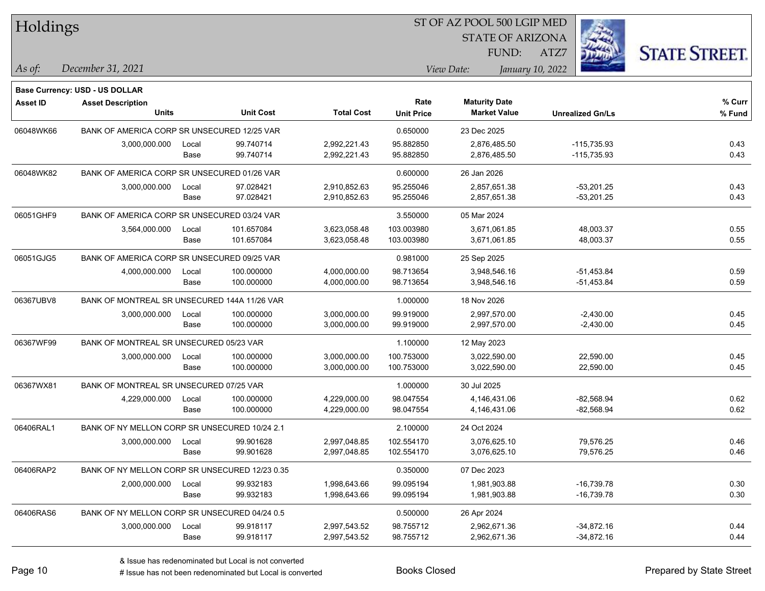| Holdings        |                                                |       |                  |                   | ST OF AZ POOL 500 LGIP MED |                         |                         |                      |  |  |
|-----------------|------------------------------------------------|-------|------------------|-------------------|----------------------------|-------------------------|-------------------------|----------------------|--|--|
|                 |                                                |       |                  |                   |                            | <b>STATE OF ARIZONA</b> |                         |                      |  |  |
|                 |                                                |       |                  |                   |                            | FUND:                   | ATZ7                    | <b>STATE STREET.</b> |  |  |
| As of:          | December 31, 2021                              |       |                  |                   |                            | View Date:              | January 10, 2022        |                      |  |  |
|                 | <b>Base Currency: USD - US DOLLAR</b>          |       |                  |                   |                            |                         |                         |                      |  |  |
| <b>Asset ID</b> | <b>Asset Description</b>                       |       |                  |                   | Rate                       | <b>Maturity Date</b>    |                         | % Curr               |  |  |
|                 | <b>Units</b>                                   |       | <b>Unit Cost</b> | <b>Total Cost</b> | <b>Unit Price</b>          | <b>Market Value</b>     | <b>Unrealized Gn/Ls</b> | % Fund               |  |  |
| 06048WK66       | BANK OF AMERICA CORP SR UNSECURED 12/25 VAR    |       |                  |                   | 0.650000                   | 23 Dec 2025             |                         |                      |  |  |
|                 | 3,000,000.000                                  | Local | 99.740714        | 2,992,221.43      | 95.882850                  | 2,876,485.50            | $-115,735.93$           | 0.43                 |  |  |
|                 |                                                | Base  | 99.740714        | 2,992,221.43      | 95.882850                  | 2,876,485.50            | $-115,735.93$           | 0.43                 |  |  |
| 06048WK82       | BANK OF AMERICA CORP SR UNSECURED 01/26 VAR    |       |                  |                   | 0.600000                   | 26 Jan 2026             |                         |                      |  |  |
|                 | 3,000,000.000                                  | Local | 97.028421        | 2,910,852.63      | 95.255046                  | 2,857,651.38            | $-53,201.25$            | 0.43                 |  |  |
|                 |                                                | Base  | 97.028421        | 2,910,852.63      | 95.255046                  | 2,857,651.38            | $-53,201.25$            | 0.43                 |  |  |
| 06051GHF9       | BANK OF AMERICA CORP SR UNSECURED 03/24 VAR    |       |                  |                   | 3.550000                   | 05 Mar 2024             |                         |                      |  |  |
|                 | 3,564,000.000                                  | Local | 101.657084       | 3,623,058.48      | 103.003980                 | 3,671,061.85            | 48,003.37               | 0.55                 |  |  |
|                 |                                                | Base  | 101.657084       | 3,623,058.48      | 103.003980                 | 3,671,061.85            | 48,003.37               | 0.55                 |  |  |
| 06051GJG5       | BANK OF AMERICA CORP SR UNSECURED 09/25 VAR    |       |                  |                   | 0.981000                   | 25 Sep 2025             |                         |                      |  |  |
|                 | 4,000,000.000                                  | Local | 100.000000       | 4,000,000.00      | 98.713654                  | 3,948,546.16            | $-51,453.84$            | 0.59                 |  |  |
|                 |                                                | Base  | 100.000000       | 4,000,000.00      | 98.713654                  | 3,948,546.16            | $-51,453.84$            | 0.59                 |  |  |
| 06367UBV8       | BANK OF MONTREAL SR UNSECURED 144A 11/26 VAR   |       |                  |                   | 1.000000                   | 18 Nov 2026             |                         |                      |  |  |
|                 | 3,000,000.000                                  | Local | 100.000000       | 3,000,000.00      | 99.919000                  | 2,997,570.00            | $-2,430.00$             | 0.45                 |  |  |
|                 |                                                | Base  | 100.000000       | 3,000,000.00      | 99.919000                  | 2,997,570.00            | $-2,430.00$             | 0.45                 |  |  |
| 06367WF99       | BANK OF MONTREAL SR UNSECURED 05/23 VAR        |       |                  |                   | 1.100000                   | 12 May 2023             |                         |                      |  |  |
|                 | 3,000,000.000                                  | Local | 100.000000       | 3,000,000.00      | 100.753000                 | 3,022,590.00            | 22,590.00               | 0.45                 |  |  |
|                 |                                                | Base  | 100.000000       | 3,000,000.00      | 100.753000                 | 3,022,590.00            | 22,590.00               | 0.45                 |  |  |
| 06367WX81       | BANK OF MONTREAL SR UNSECURED 07/25 VAR        |       |                  |                   | 1.000000                   | 30 Jul 2025             |                         |                      |  |  |
|                 | 4,229,000.000                                  | Local | 100.000000       | 4,229,000.00      | 98.047554                  | 4,146,431.06            | $-82,568.94$            | 0.62                 |  |  |
|                 |                                                | Base  | 100.000000       | 4,229,000.00      | 98.047554                  | 4,146,431.06            | -82,568.94              | 0.62                 |  |  |
| 06406RAL1       | BANK OF NY MELLON CORP SR UNSECURED 10/24 2.1  |       |                  |                   | 2.100000                   | 24 Oct 2024             |                         |                      |  |  |
|                 | 3,000,000.000                                  | Local | 99.901628        | 2.997.048.85      | 102.554170                 | 3,076,625.10            | 79,576.25               | 0.46                 |  |  |
|                 |                                                | Base  | 99.901628        | 2,997,048.85      | 102.554170                 | 3,076,625.10            | 79,576.25               | 0.46                 |  |  |
| 06406RAP2       | BANK OF NY MELLON CORP SR UNSECURED 12/23 0.35 |       |                  |                   | 0.350000                   | 07 Dec 2023             |                         |                      |  |  |
|                 | 2,000,000.000                                  | Local | 99.932183        | 1,998,643.66      | 99.095194                  | 1,981,903.88            | $-16,739.78$            | 0.30                 |  |  |
|                 |                                                | Base  | 99.932183        | 1,998,643.66      | 99.095194                  | 1,981,903.88            | $-16,739.78$            | 0.30                 |  |  |
| 06406RAS6       | BANK OF NY MELLON CORP SR UNSECURED 04/24 0.5  |       |                  |                   | 0.500000                   | 26 Apr 2024             |                         |                      |  |  |
|                 | 3,000,000.000                                  | Local | 99.918117        | 2,997,543.52      | 98.755712                  | 2,962,671.36            | $-34,872.16$            | 0.44                 |  |  |
|                 |                                                | Base  | 99.918117        | 2,997,543.52      | 98.755712                  | 2,962,671.36            | $-34,872.16$            | 0.44                 |  |  |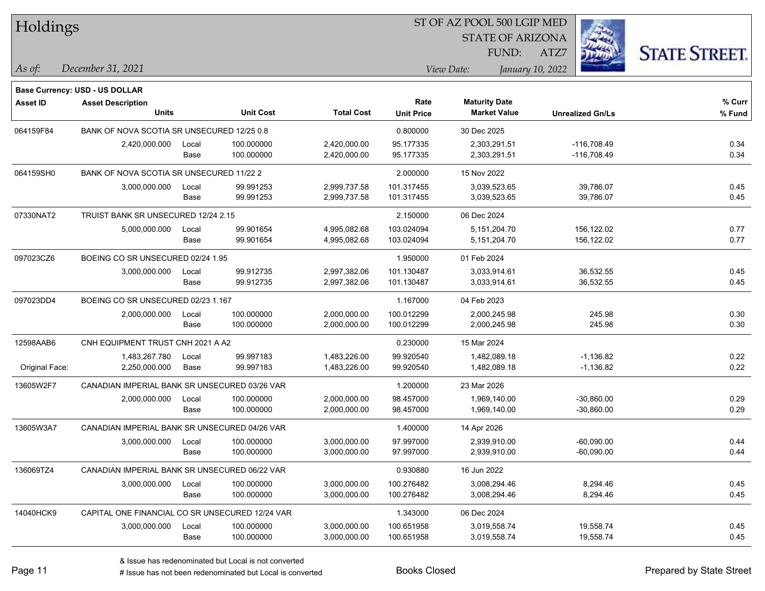| Holdings        |                                                 |       |                  |                   | ST OF AZ POOL 500 LGIP MED |                         |                         |                      |
|-----------------|-------------------------------------------------|-------|------------------|-------------------|----------------------------|-------------------------|-------------------------|----------------------|
|                 |                                                 |       |                  |                   |                            | <b>STATE OF ARIZONA</b> |                         |                      |
|                 |                                                 |       |                  |                   |                            | FUND:                   | ATZ7                    | <b>STATE STREET.</b> |
| As of:          | December 31, 2021                               |       |                  |                   |                            | View Date:              | January 10, 2022        |                      |
|                 | <b>Base Currency: USD - US DOLLAR</b>           |       |                  |                   |                            |                         |                         |                      |
| <b>Asset ID</b> | <b>Asset Description</b>                        |       |                  |                   | Rate                       | <b>Maturity Date</b>    |                         | % Curr               |
|                 | <b>Units</b>                                    |       | <b>Unit Cost</b> | <b>Total Cost</b> | <b>Unit Price</b>          | <b>Market Value</b>     | <b>Unrealized Gn/Ls</b> | % Fund               |
| 064159F84       | BANK OF NOVA SCOTIA SR UNSECURED 12/25 0.8      |       |                  |                   | 0.800000                   | 30 Dec 2025             |                         |                      |
|                 | 2,420,000.000                                   | Local | 100.000000       | 2,420,000.00      | 95.177335                  | 2,303,291.51            | $-116,708.49$           | 0.34                 |
|                 |                                                 | Base  | 100.000000       | 2,420,000.00      | 95.177335                  | 2,303,291.51            | $-116,708.49$           | 0.34                 |
| 064159SH0       | BANK OF NOVA SCOTIA SR UNSECURED 11/22 2        |       |                  |                   | 2.000000                   | 15 Nov 2022             |                         |                      |
|                 | 3,000,000.000                                   | Local | 99.991253        | 2,999,737.58      | 101.317455                 | 3,039,523.65            | 39,786.07               | 0.45                 |
|                 |                                                 | Base  | 99.991253        | 2,999,737.58      | 101.317455                 | 3,039,523.65            | 39,786.07               | 0.45                 |
| 07330NAT2       | TRUIST BANK SR UNSECURED 12/24 2.15             |       |                  |                   | 2.150000                   | 06 Dec 2024             |                         |                      |
|                 | 5,000,000.000                                   | Local | 99.901654        | 4,995,082.68      | 103.024094                 | 5,151,204.70            | 156,122.02              | 0.77                 |
|                 |                                                 | Base  | 99.901654        | 4,995,082.68      | 103.024094                 | 5,151,204.70            | 156,122.02              | 0.77                 |
| 097023CZ6       | BOEING CO SR UNSECURED 02/24 1.95               |       |                  |                   | 1.950000                   | 01 Feb 2024             |                         |                      |
|                 | 3,000,000.000                                   | Local | 99.912735        | 2,997,382.06      | 101.130487                 | 3,033,914.61            | 36,532.55               | 0.45                 |
|                 |                                                 | Base  | 99.912735        | 2,997,382.06      | 101.130487                 | 3,033,914.61            | 36,532.55               | 0.45                 |
| 097023DD4       | BOEING CO SR UNSECURED 02/23 1.167              |       |                  |                   | 1.167000                   | 04 Feb 2023             |                         |                      |
|                 | 2,000,000.000                                   | Local | 100.000000       | 2,000,000.00      | 100.012299                 | 2,000,245.98            | 245.98                  | 0.30                 |
|                 |                                                 | Base  | 100.000000       | 2,000,000.00      | 100.012299                 | 2,000,245.98            | 245.98                  | 0.30                 |
| 12598AAB6       | CNH EQUIPMENT TRUST CNH 2021 A A2               |       |                  |                   | 0.230000                   | 15 Mar 2024             |                         |                      |
|                 | 1,483,267.780                                   | Local | 99.997183        | 1,483,226.00      | 99.920540                  | 1,482,089.18            | $-1,136.82$             | 0.22                 |
| Original Face:  | 2,250,000.000                                   | Base  | 99.997183        | 1,483,226.00      | 99.920540                  | 1,482,089.18            | $-1,136.82$             | 0.22                 |
| 13605W2F7       | CANADIAN IMPERIAL BANK SR UNSECURED 03/26 VAR   |       |                  |                   | 1.200000                   | 23 Mar 2026             |                         |                      |
|                 | 2,000,000.000                                   | Local | 100.000000       | 2,000,000.00      | 98.457000                  | 1,969,140.00            | $-30,860.00$            | 0.29                 |
|                 |                                                 | Base  | 100.000000       | 2,000,000.00      | 98.457000                  | 1,969,140.00            | $-30,860.00$            | 0.29                 |
| 13605W3A7       | CANADIAN IMPERIAL BANK SR UNSECURED 04/26 VAR   |       |                  |                   | 1.400000                   | 14 Apr 2026             |                         |                      |
|                 | 3,000,000.000                                   | Local | 100.000000       | 3,000,000.00      | 97.997000                  | 2,939,910.00            | $-60.090.00$            | 0.44                 |
|                 |                                                 | Base  | 100.000000       | 3,000,000.00      | 97.997000                  | 2,939,910.00            | $-60,090.00$            | 0.44                 |
| 136069TZ4       | CANADIAN IMPERIAL BANK SR UNSECURED 06/22 VAR   |       |                  |                   | 0.930880                   | 16 Jun 2022             |                         |                      |
|                 | 3,000,000.000                                   | Local | 100.000000       | 3,000,000.00      | 100.276482                 | 3,008,294.46            | 8,294.46                | 0.45                 |
|                 |                                                 | Base  | 100.000000       | 3,000,000.00      | 100.276482                 | 3,008,294.46            | 8,294.46                | 0.45                 |
| 14040HCK9       | CAPITAL ONE FINANCIAL CO SR UNSECURED 12/24 VAR |       |                  |                   | 1.343000                   | 06 Dec 2024             |                         |                      |
|                 | 3,000,000.000                                   | Local | 100.000000       | 3,000,000.00      | 100.651958                 | 3,019,558.74            | 19,558.74               | 0.45                 |
|                 |                                                 | Base  | 100.000000       | 3,000,000.00      | 100.651958                 | 3,019,558.74            | 19,558.74               | 0.45                 |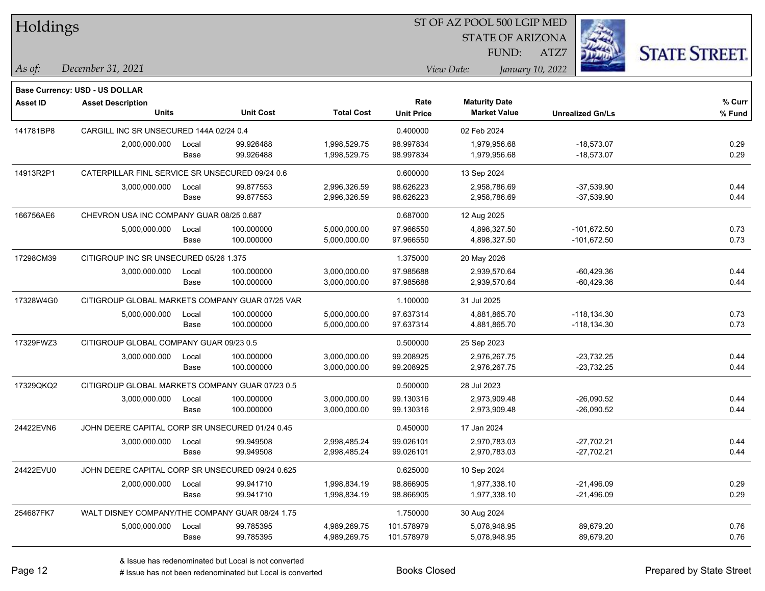| Holdings  |                                                  |       |                  |                   | ST OF AZ POOL 500 LGIP MED |                         |                         |                      |  |  |
|-----------|--------------------------------------------------|-------|------------------|-------------------|----------------------------|-------------------------|-------------------------|----------------------|--|--|
|           |                                                  |       |                  |                   |                            | <b>STATE OF ARIZONA</b> |                         |                      |  |  |
|           |                                                  |       |                  |                   |                            | FUND:                   | ATZ7                    | <b>STATE STREET.</b> |  |  |
| As of:    | December 31, 2021                                |       |                  |                   |                            | View Date:              | January 10, 2022        |                      |  |  |
|           | Base Currency: USD - US DOLLAR                   |       |                  |                   |                            |                         |                         |                      |  |  |
| Asset ID  | <b>Asset Description</b>                         |       |                  |                   | Rate                       | <b>Maturity Date</b>    |                         | % Curr               |  |  |
|           | <b>Units</b>                                     |       | <b>Unit Cost</b> | <b>Total Cost</b> | <b>Unit Price</b>          | <b>Market Value</b>     | <b>Unrealized Gn/Ls</b> | % Fund               |  |  |
| 141781BP8 | CARGILL INC SR UNSECURED 144A 02/24 0.4          |       |                  |                   | 0.400000                   | 02 Feb 2024             |                         |                      |  |  |
|           | 2,000,000.000                                    | Local | 99.926488        | 1,998,529.75      | 98.997834                  | 1,979,956.68            | $-18,573.07$            | 0.29                 |  |  |
|           |                                                  | Base  | 99.926488        | 1,998,529.75      | 98.997834                  | 1,979,956.68            | $-18,573.07$            | 0.29                 |  |  |
| 14913R2P1 | CATERPILLAR FINL SERVICE SR UNSECURED 09/24 0.6  |       |                  |                   | 0.600000                   | 13 Sep 2024             |                         |                      |  |  |
|           | 3,000,000.000                                    | Local | 99.877553        | 2,996,326.59      | 98.626223                  | 2,958,786.69            | $-37,539.90$            | 0.44                 |  |  |
|           |                                                  | Base  | 99.877553        | 2,996,326.59      | 98.626223                  | 2,958,786.69            | $-37,539.90$            | 0.44                 |  |  |
| 166756AE6 | CHEVRON USA INC COMPANY GUAR 08/25 0.687         |       |                  |                   | 0.687000                   | 12 Aug 2025             |                         |                      |  |  |
|           | 5,000,000.000                                    | Local | 100.000000       | 5,000,000.00      | 97.966550                  | 4,898,327.50            | $-101,672.50$           | 0.73                 |  |  |
|           |                                                  | Base  | 100.000000       | 5,000,000.00      | 97.966550                  | 4,898,327.50            | $-101,672.50$           | 0.73                 |  |  |
| 17298CM39 | CITIGROUP INC SR UNSECURED 05/26 1.375           |       |                  |                   | 1.375000                   | 20 May 2026             |                         |                      |  |  |
|           | 3,000,000.000                                    | Local | 100.000000       | 3,000,000.00      | 97.985688                  | 2,939,570.64            | $-60,429.36$            | 0.44                 |  |  |
|           |                                                  | Base  | 100.000000       | 3,000,000.00      | 97.985688                  | 2,939,570.64            | $-60,429.36$            | 0.44                 |  |  |
| 17328W4G0 | CITIGROUP GLOBAL MARKETS COMPANY GUAR 07/25 VAR  |       |                  | 1.100000          | 31 Jul 2025                |                         |                         |                      |  |  |
|           | 5,000,000.000                                    | Local | 100.000000       | 5,000,000.00      | 97.637314                  | 4,881,865.70            | $-118, 134.30$          | 0.73                 |  |  |
|           |                                                  | Base  | 100.000000       | 5,000,000.00      | 97.637314                  | 4,881,865.70            | $-118, 134.30$          | 0.73                 |  |  |
| 17329FWZ3 | CITIGROUP GLOBAL COMPANY GUAR 09/23 0.5          |       |                  |                   | 0.500000                   | 25 Sep 2023             |                         |                      |  |  |
|           | 3,000,000.000                                    | Local | 100.000000       | 3,000,000.00      | 99.208925                  | 2,976,267.75            | $-23,732.25$            | 0.44                 |  |  |
|           |                                                  | Base  | 100.000000       | 3,000,000.00      | 99.208925                  | 2,976,267.75            | $-23,732.25$            | 0.44                 |  |  |
| 17329QKQ2 | CITIGROUP GLOBAL MARKETS COMPANY GUAR 07/23 0.5  |       |                  |                   | 0.500000                   | 28 Jul 2023             |                         |                      |  |  |
|           | 3,000,000.000                                    | Local | 100.000000       | 3,000,000.00      | 99.130316                  | 2,973,909.48            | $-26,090.52$            | 0.44                 |  |  |
|           |                                                  | Base  | 100.000000       | 3,000,000.00      | 99.130316                  | 2,973,909.48            | $-26,090.52$            | 0.44                 |  |  |
| 24422EVN6 | JOHN DEERE CAPITAL CORP SR UNSECURED 01/24 0.45  |       |                  |                   | 0.450000                   | 17 Jan 2024             |                         |                      |  |  |
|           | 3,000,000.000                                    | Local | 99.949508        | 2,998,485.24      | 99.026101                  | 2,970,783.03            | $-27,702.21$            | 0.44                 |  |  |
|           |                                                  | Base  | 99.949508        | 2,998,485.24      | 99.026101                  | 2,970,783.03            | $-27,702.21$            | 0.44                 |  |  |
| 24422EVU0 | JOHN DEERE CAPITAL CORP SR UNSECURED 09/24 0.625 |       |                  |                   | 0.625000                   | 10 Sep 2024             |                         |                      |  |  |
|           | 2,000,000.000                                    | Local | 99.941710        | 1,998,834.19      | 98.866905                  | 1,977,338.10            | $-21,496.09$            | 0.29                 |  |  |
|           |                                                  | Base  | 99.941710        | 1,998,834.19      | 98.866905                  | 1,977,338.10            | $-21,496.09$            | 0.29                 |  |  |
| 254687FK7 | WALT DISNEY COMPANY/THE COMPANY GUAR 08/24 1.75  |       |                  |                   | 1.750000                   | 30 Aug 2024             |                         |                      |  |  |
|           | 5,000,000.000                                    | Local | 99.785395        | 4,989,269.75      | 101.578979                 | 5,078,948.95            | 89,679.20               | 0.76                 |  |  |
|           |                                                  | Base  | 99.785395        | 4,989,269.75      | 101.578979                 | 5,078,948.95            | 89,679.20               | 0.76                 |  |  |
|           |                                                  |       |                  |                   |                            |                         |                         |                      |  |  |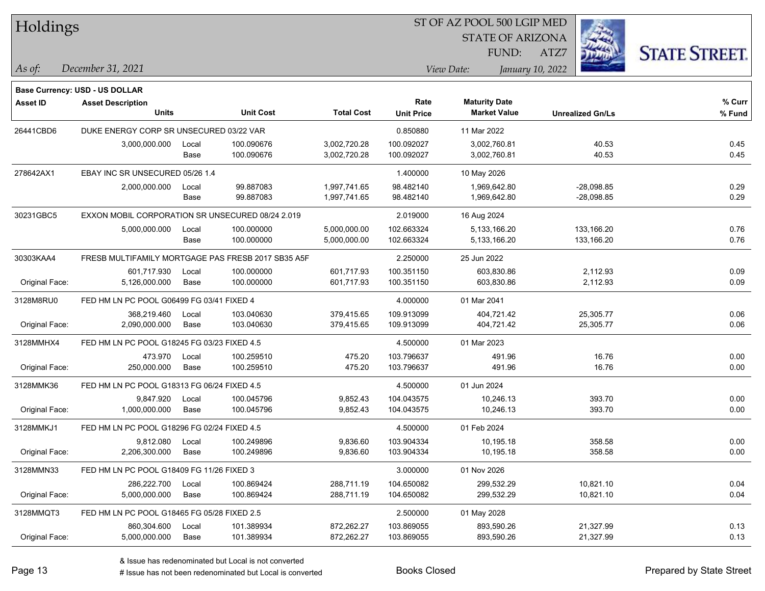| Holdings |  |
|----------|--|
|----------|--|

STATE OF ARIZONA FUND:



*December 31, 2021 As of: View Date: January 10, 2022*

ATZ7

|                 | <b>Base Currency: USD - US DOLLAR</b>            |       |                                                    |                   |                   |                      |                         |        |
|-----------------|--------------------------------------------------|-------|----------------------------------------------------|-------------------|-------------------|----------------------|-------------------------|--------|
| <b>Asset ID</b> | <b>Asset Description</b>                         |       |                                                    |                   | Rate              | <b>Maturity Date</b> |                         | % Curr |
|                 | <b>Units</b>                                     |       | <b>Unit Cost</b>                                   | <b>Total Cost</b> | <b>Unit Price</b> | <b>Market Value</b>  | <b>Unrealized Gn/Ls</b> | % Fund |
| 26441CBD6       | DUKE ENERGY CORP SR UNSECURED 03/22 VAR          |       |                                                    |                   | 0.850880          | 11 Mar 2022          |                         |        |
|                 | 3,000,000.000                                    | Local | 100.090676                                         | 3,002,720.28      | 100.092027        | 3,002,760.81         | 40.53                   | 0.45   |
|                 |                                                  | Base  | 100.090676                                         | 3,002,720.28      | 100.092027        | 3,002,760.81         | 40.53                   | 0.45   |
| 278642AX1       | EBAY INC SR UNSECURED 05/26 1.4                  |       |                                                    | 1.400000          | 10 May 2026       |                      |                         |        |
|                 | 2,000,000.000                                    | Local | 99.887083                                          | 1,997,741.65      | 98.482140         | 1,969,642.80         | $-28,098.85$            | 0.29   |
|                 |                                                  | Base  | 99.887083                                          | 1,997,741.65      | 98.482140         | 1,969,642.80         | $-28,098.85$            | 0.29   |
| 30231GBC5       | EXXON MOBIL CORPORATION SR UNSECURED 08/24 2.019 |       |                                                    | 2.019000          | 16 Aug 2024       |                      |                         |        |
|                 | 5,000,000.000                                    | Local | 100.000000                                         | 5,000,000.00      | 102.663324        | 5,133,166.20         | 133,166.20              | 0.76   |
|                 |                                                  | Base  | 100.000000                                         | 5,000,000.00      | 102.663324        | 5,133,166.20         | 133,166.20              | 0.76   |
| 30303KAA4       |                                                  |       | FRESB MULTIFAMILY MORTGAGE PAS FRESB 2017 SB35 A5F |                   | 2.250000          | 25 Jun 2022          |                         |        |
|                 | 601,717.930                                      | Local | 100.000000                                         | 601,717.93        | 100.351150        | 603,830.86           | 2,112.93                | 0.09   |
| Original Face:  | 5,126,000.000                                    | Base  | 100.000000                                         | 601,717.93        | 100.351150        | 603,830.86           | 2,112.93                | 0.09   |
| 3128M8RU0       | FED HM LN PC POOL G06499 FG 03/41 FIXED 4        |       |                                                    |                   | 4.000000          | 01 Mar 2041          |                         |        |
|                 | 368,219.460                                      | Local | 103.040630                                         | 379,415.65        | 109.913099        | 404,721.42           | 25,305.77               | 0.06   |
| Original Face:  | 2,090,000.000                                    | Base  | 103.040630                                         | 379,415.65        | 109.913099        | 404,721.42           | 25,305.77               | 0.06   |
| 3128MMHX4       | FED HM LN PC POOL G18245 FG 03/23 FIXED 4.5      |       |                                                    |                   | 4.500000          | 01 Mar 2023          |                         |        |
|                 | 473.970                                          | Local | 100.259510                                         | 475.20            | 103.796637        | 491.96               | 16.76                   | 0.00   |
| Original Face:  | 250,000.000                                      | Base  | 100.259510                                         | 475.20            | 103.796637        | 491.96               | 16.76                   | 0.00   |
| 3128MMK36       | FED HM LN PC POOL G18313 FG 06/24 FIXED 4.5      |       |                                                    |                   | 4.500000          | 01 Jun 2024          |                         |        |
|                 | 9,847.920                                        | Local | 100.045796                                         | 9,852.43          | 104.043575        | 10,246.13            | 393.70                  | 0.00   |
| Original Face:  | 1,000,000.000                                    | Base  | 100.045796                                         | 9,852.43          | 104.043575        | 10,246.13            | 393.70                  | 0.00   |
| 3128MMKJ1       | FED HM LN PC POOL G18296 FG 02/24 FIXED 4.5      |       |                                                    |                   | 4.500000          | 01 Feb 2024          |                         |        |
|                 | 9,812.080                                        | Local | 100.249896                                         | 9,836.60          | 103.904334        | 10,195.18            | 358.58                  | 0.00   |
| Original Face:  | 2,206,300.000                                    | Base  | 100.249896                                         | 9,836.60          | 103.904334        | 10,195.18            | 358.58                  | 0.00   |
| 3128MMN33       | FED HM LN PC POOL G18409 FG 11/26 FIXED 3        |       |                                                    |                   | 3.000000          | 01 Nov 2026          |                         |        |
|                 | 286,222.700                                      | Local | 100.869424                                         | 288,711.19        | 104.650082        | 299,532.29           | 10,821.10               | 0.04   |
| Original Face:  | 5,000,000.000                                    | Base  | 100.869424                                         | 288,711.19        | 104.650082        | 299,532.29           | 10,821.10               | 0.04   |
| 3128MMQT3       | FED HM LN PC POOL G18465 FG 05/28 FIXED 2.5      |       |                                                    |                   | 2.500000          | 01 May 2028          |                         |        |
|                 | 860,304.600                                      | Local | 101.389934                                         | 872,262.27        | 103.869055        | 893,590.26           | 21,327.99               | 0.13   |
| Original Face:  | 5,000,000.000                                    | Base  | 101.389934                                         | 872,262.27        | 103.869055        | 893,590.26           | 21,327.99               | 0.13   |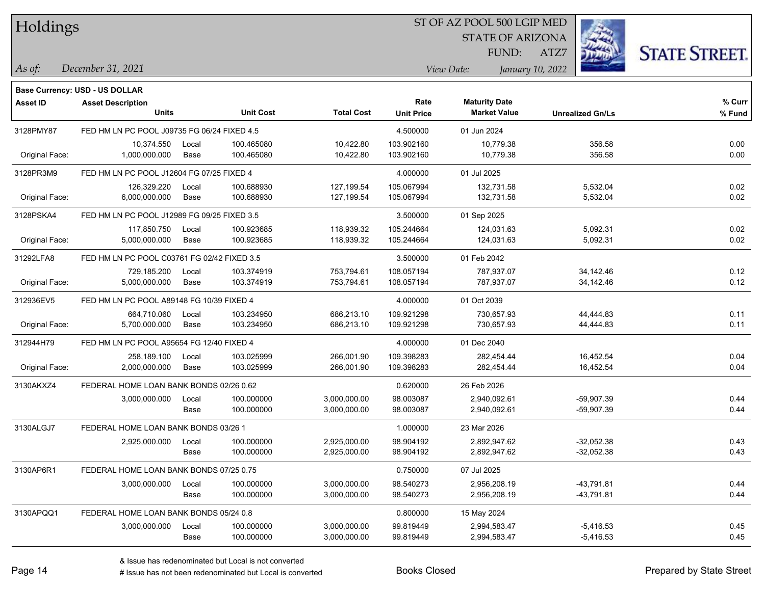Holdings

#### ST OF AZ POOL 500 LGIP MED

STATE OF ARIZONA

ATZ7



*December 31, 2021 As of: View Date: January 10, 2022*

**Base Currency: USD - US DOLLAR**

| <b>Asset ID</b> | <b>Asset Description</b>                    |       | <b>Unit Cost</b> | <b>Total Cost</b> | Rate              | <b>Maturity Date</b> |                         | % Curr |
|-----------------|---------------------------------------------|-------|------------------|-------------------|-------------------|----------------------|-------------------------|--------|
|                 | <b>Units</b>                                |       |                  |                   | <b>Unit Price</b> | <b>Market Value</b>  | <b>Unrealized Gn/Ls</b> | % Fund |
| 3128PMY87       | FED HM LN PC POOL J09735 FG 06/24 FIXED 4.5 |       |                  |                   | 4.500000          | 01 Jun 2024          |                         |        |
|                 | 10,374.550                                  | Local | 100.465080       | 10,422.80         | 103.902160        | 10,779.38            | 356.58                  | 0.00   |
| Original Face:  | 1,000,000.000                               | Base  | 100.465080       | 10,422.80         | 103.902160        | 10,779.38            | 356.58                  | 0.00   |
| 3128PR3M9       | FED HM LN PC POOL J12604 FG 07/25 FIXED 4   |       |                  |                   | 4.000000          | 01 Jul 2025          |                         |        |
|                 | 126,329.220                                 | Local | 100.688930       | 127,199.54        | 105.067994        | 132,731.58           | 5,532.04                | 0.02   |
| Original Face:  | 6,000,000.000                               | Base  | 100.688930       | 127,199.54        | 105.067994        | 132,731.58           | 5,532.04                | 0.02   |
| 3128PSKA4       | FED HM LN PC POOL J12989 FG 09/25 FIXED 3.5 |       |                  |                   | 3.500000          | 01 Sep 2025          |                         |        |
|                 | 117,850.750                                 | Local | 100.923685       | 118,939.32        | 105.244664        | 124,031.63           | 5,092.31                | 0.02   |
| Original Face:  | 5,000,000.000                               | Base  | 100.923685       | 118,939.32        | 105.244664        | 124,031.63           | 5,092.31                | 0.02   |
| 31292LFA8       | FED HM LN PC POOL C03761 FG 02/42 FIXED 3.5 |       |                  |                   | 3.500000          | 01 Feb 2042          |                         |        |
|                 | 729,185.200                                 | Local | 103.374919       | 753,794.61        | 108.057194        | 787,937.07           | 34,142.46               | 0.12   |
| Original Face:  | 5,000,000.000                               | Base  | 103.374919       | 753,794.61        | 108.057194        | 787,937.07           | 34,142.46               | 0.12   |
| 312936EV5       | FED HM LN PC POOL A89148 FG 10/39 FIXED 4   |       |                  | 4.000000          | 01 Oct 2039       |                      |                         |        |
|                 | 664,710.060                                 | Local | 103.234950       | 686,213.10        | 109.921298        | 730,657.93           | 44,444.83               | 0.11   |
| Original Face:  | 5,700,000.000                               | Base  | 103.234950       | 686,213.10        | 109.921298        | 730,657.93           | 44,444.83               | 0.11   |
| 312944H79       | FED HM LN PC POOL A95654 FG 12/40 FIXED 4   |       |                  |                   | 4.000000          | 01 Dec 2040          |                         |        |
|                 | 258,189.100                                 | Local | 103.025999       | 266,001.90        | 109.398283        | 282.454.44           | 16,452.54               | 0.04   |
| Original Face:  | 2,000,000.000                               | Base  | 103.025999       | 266,001.90        | 109.398283        | 282,454.44           | 16,452.54               | 0.04   |
| 3130AKXZ4       | FEDERAL HOME LOAN BANK BONDS 02/26 0.62     |       |                  |                   | 0.620000          | 26 Feb 2026          |                         |        |
|                 | 3,000,000.000                               | Local | 100.000000       | 3,000,000.00      | 98.003087         | 2,940,092.61         | $-59,907.39$            | 0.44   |
|                 |                                             | Base  | 100.000000       | 3,000,000.00      | 98.003087         | 2,940,092.61         | $-59,907.39$            | 0.44   |
| 3130ALGJ7       | FEDERAL HOME LOAN BANK BONDS 03/26 1        |       |                  |                   | 1.000000          | 23 Mar 2026          |                         |        |
|                 | 2,925,000.000                               | Local | 100.000000       | 2,925,000.00      | 98.904192         | 2,892,947.62         | $-32,052.38$            | 0.43   |
|                 |                                             | Base  | 100.000000       | 2,925,000.00      | 98.904192         | 2,892,947.62         | $-32,052.38$            | 0.43   |
| 3130AP6R1       | FEDERAL HOME LOAN BANK BONDS 07/25 0.75     |       |                  |                   | 0.750000          | 07 Jul 2025          |                         |        |
|                 | 3,000,000.000                               | Local | 100.000000       | 3,000,000.00      | 98.540273         | 2,956,208.19         | $-43,791.81$            | 0.44   |
|                 |                                             | Base  | 100.000000       | 3,000,000.00      | 98.540273         | 2,956,208.19         | -43,791.81              | 0.44   |
| 3130APQQ1       | FEDERAL HOME LOAN BANK BONDS 05/24 0.8      |       |                  |                   | 0.800000          | 15 May 2024          |                         |        |
|                 | 3,000,000.000                               | Local | 100.000000       | 3,000,000.00      | 99.819449         | 2,994,583.47         | $-5,416.53$             | 0.45   |
|                 |                                             | Base  | 100.000000       | 3,000,000.00      | 99.819449         | 2,994,583.47         | $-5,416.53$             | 0.45   |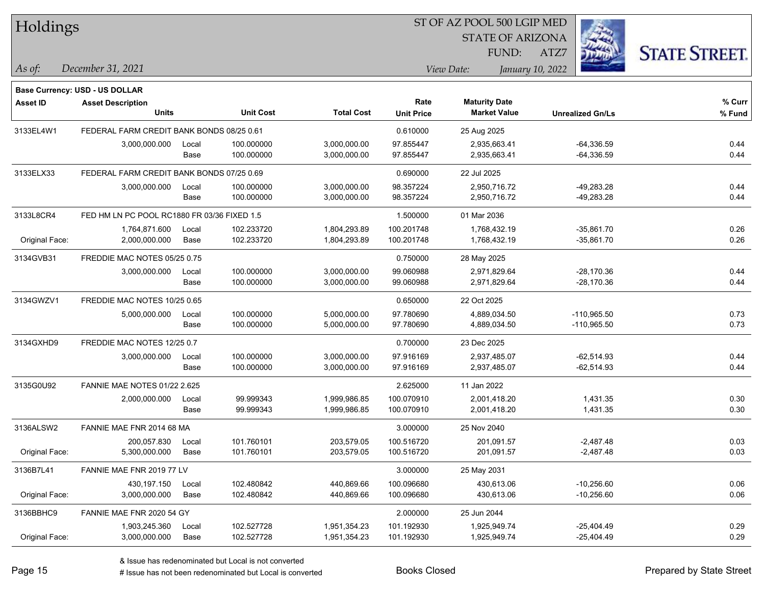| Holdings        |                                             |       |                  |                   |                   | ST OF AZ POOL 500 LGIP MED |                         |                      |
|-----------------|---------------------------------------------|-------|------------------|-------------------|-------------------|----------------------------|-------------------------|----------------------|
|                 |                                             |       |                  |                   |                   | <b>STATE OF ARIZONA</b>    |                         |                      |
|                 |                                             |       |                  |                   |                   | FUND:                      | ATZ7                    | <b>STATE STREET.</b> |
| As of:          | December 31, 2021                           |       |                  |                   |                   | View Date:                 | January 10, 2022        |                      |
|                 | <b>Base Currency: USD - US DOLLAR</b>       |       |                  |                   |                   |                            |                         |                      |
| <b>Asset ID</b> | <b>Asset Description</b>                    |       |                  |                   | Rate              | <b>Maturity Date</b>       |                         | % Curr               |
|                 | <b>Units</b>                                |       | <b>Unit Cost</b> | <b>Total Cost</b> | <b>Unit Price</b> | <b>Market Value</b>        | <b>Unrealized Gn/Ls</b> | % Fund               |
| 3133EL4W1       | FEDERAL FARM CREDIT BANK BONDS 08/25 0.61   |       |                  |                   | 0.610000          | 25 Aug 2025                |                         |                      |
|                 | 3,000,000.000                               | Local | 100.000000       | 3,000,000.00      | 97.855447         | 2,935,663.41               | $-64,336.59$            | 0.44                 |
|                 |                                             | Base  | 100.000000       | 3,000,000.00      | 97.855447         | 2,935,663.41               | $-64,336.59$            | 0.44                 |
| 3133ELX33       | FEDERAL FARM CREDIT BANK BONDS 07/25 0.69   |       |                  |                   | 0.690000          | 22 Jul 2025                |                         |                      |
|                 | 3,000,000.000                               | Local | 100.000000       | 3,000,000.00      | 98.357224         | 2,950,716.72               | -49,283.28              | 0.44                 |
|                 |                                             | Base  | 100.000000       | 3,000,000.00      | 98.357224         | 2,950,716.72               | $-49,283.28$            | 0.44                 |
| 3133L8CR4       | FED HM LN PC POOL RC1880 FR 03/36 FIXED 1.5 |       |                  |                   | 1.500000          | 01 Mar 2036                |                         |                      |
|                 | 1,764,871.600                               | Local | 102.233720       | 1,804,293.89      | 100.201748        | 1,768,432.19               | $-35,861.70$            | 0.26                 |
| Original Face:  | 2,000,000.000                               | Base  | 102.233720       | 1,804,293.89      | 100.201748        | 1,768,432.19               | $-35,861.70$            | 0.26                 |
| 3134GVB31       | FREDDIE MAC NOTES 05/25 0.75                |       |                  |                   | 0.750000          | 28 May 2025                |                         |                      |
|                 | 3,000,000.000                               | Local | 100.000000       | 3,000,000.00      | 99.060988         | 2,971,829.64               | $-28,170.36$            | 0.44                 |
|                 |                                             | Base  | 100.000000       | 3,000,000.00      | 99.060988         | 2,971,829.64               | $-28,170.36$            | 0.44                 |
| 3134GWZV1       | FREDDIE MAC NOTES 10/25 0.65                |       |                  |                   | 0.650000          | 22 Oct 2025                |                         |                      |
|                 | 5,000,000.000                               | Local | 100.000000       | 5,000,000.00      | 97.780690         | 4,889,034.50               | $-110,965.50$           | 0.73                 |
|                 |                                             | Base  | 100.000000       | 5,000,000.00      | 97.780690         | 4,889,034.50               | $-110,965.50$           | 0.73                 |
| 3134GXHD9       | FREDDIE MAC NOTES 12/25 0.7                 |       |                  |                   | 0.700000          | 23 Dec 2025                |                         |                      |
|                 | 3,000,000.000                               | Local | 100.000000       | 3,000,000.00      | 97.916169         | 2,937,485.07               | $-62,514.93$            | 0.44                 |
|                 |                                             | Base  | 100.000000       | 3,000,000.00      | 97.916169         | 2,937,485.07               | $-62,514.93$            | 0.44                 |
| 3135G0U92       | <b>FANNIE MAE NOTES 01/22 2.625</b>         |       |                  |                   | 2.625000          | 11 Jan 2022                |                         |                      |
|                 | 2,000,000.000                               | Local | 99.999343        | 1,999,986.85      | 100.070910        | 2,001,418.20               | 1,431.35                | 0.30                 |
|                 |                                             | Base  | 99.999343        | 1,999,986.85      | 100.070910        | 2,001,418.20               | 1,431.35                | 0.30                 |
| 3136ALSW2       | FANNIE MAE FNR 2014 68 MA                   |       |                  |                   | 3.000000          | 25 Nov 2040                |                         |                      |
|                 | 200,057.830                                 | Local | 101.760101       | 203,579.05        | 100.516720        | 201,091.57                 | $-2,487.48$             | 0.03                 |
| Original Face:  | 5,300,000.000                               | Base  | 101.760101       | 203,579.05        | 100.516720        | 201,091.57                 | $-2,487.48$             | 0.03                 |
| 3136B7L41       | FANNIE MAE FNR 2019 77 LV                   |       |                  |                   | 3.000000          | 25 May 2031                |                         |                      |
|                 | 430,197.150                                 | Local | 102.480842       | 440,869.66        | 100.096680        | 430,613.06                 | $-10,256.60$            | 0.06                 |
| Original Face:  | 3,000,000.000                               | Base  | 102.480842       | 440,869.66        | 100.096680        | 430,613.06                 | $-10,256.60$            | 0.06                 |
| 3136BBHC9       | FANNIE MAE FNR 2020 54 GY                   |       |                  |                   | 2.000000          | 25 Jun 2044                |                         |                      |
|                 | 1,903,245.360                               | Local | 102.527728       | 1,951,354.23      | 101.192930        | 1,925,949.74               | $-25,404.49$            | 0.29                 |
| Original Face:  | 3,000,000.000                               | Base  | 102.527728       | 1,951,354.23      | 101.192930        | 1,925,949.74               | -25,404.49              | 0.29                 |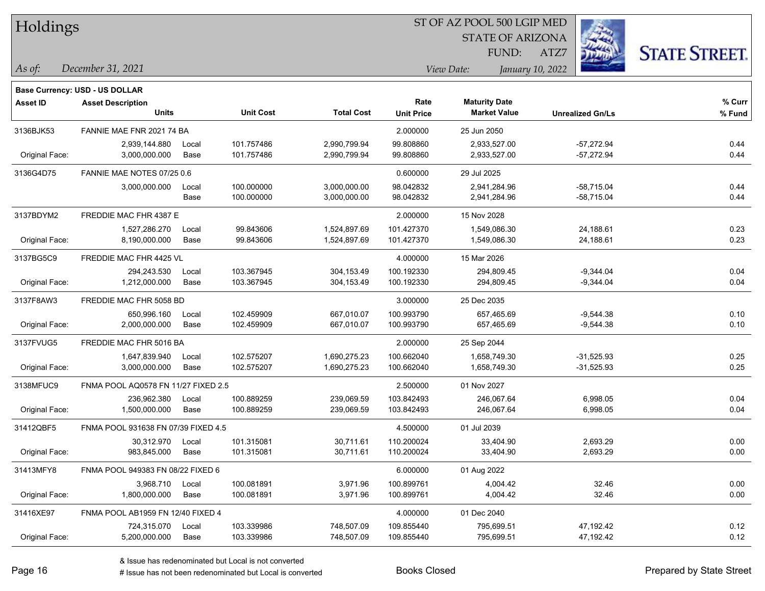| Holdings        |                                       |       |                  | ST OF AZ POOL 500 LGIP MED |                   |                         |                         |                      |  |
|-----------------|---------------------------------------|-------|------------------|----------------------------|-------------------|-------------------------|-------------------------|----------------------|--|
|                 |                                       |       |                  |                            |                   | <b>STATE OF ARIZONA</b> |                         |                      |  |
|                 |                                       |       |                  |                            |                   | FUND:                   | ATZ7                    | <b>STATE STREET.</b> |  |
| $\vert$ As of:  | December 31, 2021                     |       |                  |                            |                   | View Date:              | January 10, 2022        |                      |  |
|                 | <b>Base Currency: USD - US DOLLAR</b> |       |                  |                            |                   |                         |                         |                      |  |
| <b>Asset ID</b> | <b>Asset Description</b>              |       |                  |                            | Rate              | <b>Maturity Date</b>    |                         | % Curr               |  |
|                 | Units                                 |       | <b>Unit Cost</b> | <b>Total Cost</b>          | <b>Unit Price</b> | <b>Market Value</b>     | <b>Unrealized Gn/Ls</b> | % Fund               |  |
| 3136BJK53       | FANNIE MAE FNR 2021 74 BA             |       |                  |                            | 2.000000          | 25 Jun 2050             |                         |                      |  |
|                 | 2,939,144.880                         | Local | 101.757486       | 2,990,799.94               | 99.808860         | 2,933,527.00            | $-57,272.94$            | 0.44                 |  |
| Original Face:  | 3,000,000.000                         | Base  | 101.757486       | 2,990,799.94               | 99.808860         | 2,933,527.00            | $-57,272.94$            | 0.44                 |  |
| 3136G4D75       | FANNIE MAE NOTES 07/25 0.6            |       |                  |                            | 0.600000          | 29 Jul 2025             |                         |                      |  |
|                 | 3,000,000.000                         | Local | 100.000000       | 3,000,000.00               | 98.042832         | 2,941,284.96            | $-58,715.04$            | 0.44                 |  |
|                 |                                       | Base  | 100.000000       | 3,000,000.00               | 98.042832         | 2,941,284.96            | $-58,715.04$            | 0.44                 |  |
| 3137BDYM2       | FREDDIE MAC FHR 4387 E                |       |                  |                            | 2.000000          | 15 Nov 2028             |                         |                      |  |
|                 | 1,527,286.270                         | Local | 99.843606        | 1,524,897.69               | 101.427370        | 1,549,086.30            | 24,188.61               | 0.23                 |  |
| Original Face:  | 8,190,000.000                         | Base  | 99.843606        | 1,524,897.69               | 101.427370        | 1,549,086.30            | 24,188.61               | 0.23                 |  |
| 3137BG5C9       | FREDDIE MAC FHR 4425 VL               |       |                  |                            | 4.000000          | 15 Mar 2026             |                         |                      |  |
|                 | 294,243.530                           | Local | 103.367945       | 304, 153.49                | 100.192330        | 294,809.45              | $-9,344.04$             | 0.04                 |  |
| Original Face:  | 1,212,000.000                         | Base  | 103.367945       | 304, 153.49                | 100.192330        | 294,809.45              | $-9,344.04$             | 0.04                 |  |
| 3137F8AW3       | FREDDIE MAC FHR 5058 BD               |       |                  |                            | 3.000000          | 25 Dec 2035             |                         |                      |  |
|                 | 650,996.160                           | Local | 102.459909       | 667,010.07                 | 100.993790        | 657,465.69              | $-9,544.38$             | 0.10                 |  |
| Original Face:  | 2,000,000.000                         | Base  | 102.459909       | 667,010.07                 | 100.993790        | 657,465.69              | $-9,544.38$             | 0.10                 |  |
| 3137FVUG5       | FREDDIE MAC FHR 5016 BA               |       |                  |                            | 2.000000          | 25 Sep 2044             |                         |                      |  |
|                 | 1,647,839.940                         | Local | 102.575207       | 1,690,275.23               | 100.662040        | 1,658,749.30            | $-31,525.93$            | 0.25                 |  |
| Original Face:  | 3,000,000.000                         | Base  | 102.575207       | 1,690,275.23               | 100.662040        | 1,658,749.30            | $-31,525.93$            | 0.25                 |  |
| 3138MFUC9       | FNMA POOL AQ0578 FN 11/27 FIXED 2.5   |       |                  |                            | 2.500000          | 01 Nov 2027             |                         |                      |  |
|                 | 236,962.380                           | Local | 100.889259       | 239,069.59                 | 103.842493        | 246,067.64              | 6,998.05                | 0.04                 |  |
| Original Face:  | 1,500,000.000                         | Base  | 100.889259       | 239,069.59                 | 103.842493        | 246,067.64              | 6,998.05                | 0.04                 |  |
| 31412QBF5       | FNMA POOL 931638 FN 07/39 FIXED 4.5   |       |                  |                            | 4.500000          | 01 Jul 2039             |                         |                      |  |
|                 | 30,312.970                            | Local | 101.315081       | 30,711.61                  | 110.200024        | 33,404.90               | 2,693.29                | 0.00                 |  |
| Original Face:  | 983,845.000                           | Base  | 101.315081       | 30,711.61                  | 110.200024        | 33,404.90               | 2,693.29                | 0.00                 |  |
| 31413MFY8       | FNMA POOL 949383 FN 08/22 FIXED 6     |       |                  |                            | 6.000000          | 01 Aug 2022             |                         |                      |  |
|                 | 3,968.710                             | Local | 100.081891       | 3,971.96                   | 100.899761        | 4,004.42                | 32.46                   | 0.00                 |  |
| Original Face:  | 1,800,000.000                         | Base  | 100.081891       | 3,971.96                   | 100.899761        | 4,004.42                | 32.46                   | 0.00                 |  |
| 31416XE97       | FNMA POOL AB1959 FN 12/40 FIXED 4     |       |                  |                            | 4.000000          | 01 Dec 2040             |                         |                      |  |
|                 | 724,315.070                           | Local | 103.339986       | 748,507.09                 | 109.855440        | 795,699.51              | 47,192.42               | 0.12                 |  |
| Original Face:  | 5,200,000.000                         | Base  | 103.339986       | 748,507.09                 | 109.855440        | 795,699.51              | 47,192.42               | 0.12                 |  |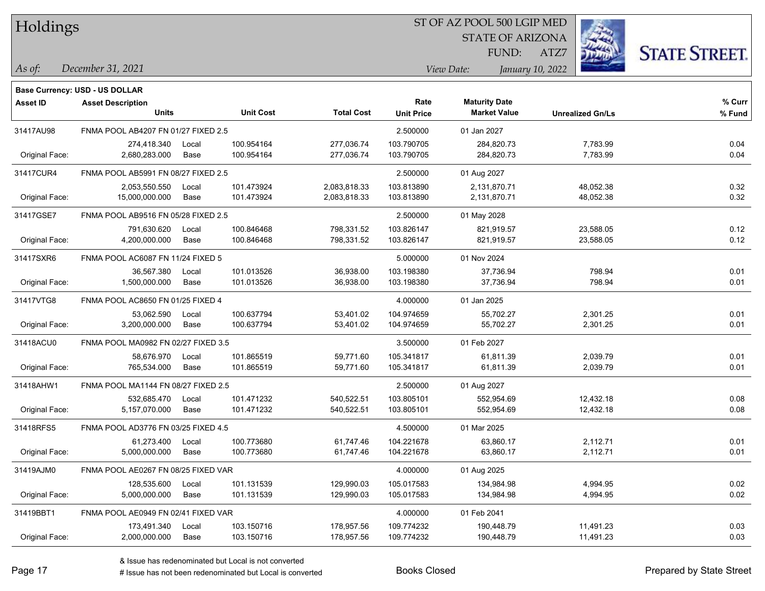|  | Holdings |
|--|----------|
|--|----------|

STATE OF ARIZONA FUND:

ATZ7



*December 31, 2021 As of: View Date: January 10, 2022*

**Base Currency: USD - US DOLLAR**

| Asset ID       | <b>Asset Description</b>            |       |                  |                   | Rate              | <b>Maturity Date</b> |                         | % Curr |
|----------------|-------------------------------------|-------|------------------|-------------------|-------------------|----------------------|-------------------------|--------|
|                | <b>Units</b>                        |       | <b>Unit Cost</b> | <b>Total Cost</b> | <b>Unit Price</b> | <b>Market Value</b>  | <b>Unrealized Gn/Ls</b> | % Fund |
| 31417AU98      | FNMA POOL AB4207 FN 01/27 FIXED 2.5 |       |                  |                   | 2.500000          | 01 Jan 2027          |                         |        |
|                | 274,418.340                         | Local | 100.954164       | 277,036.74        | 103.790705        | 284,820.73           | 7,783.99                | 0.04   |
| Original Face: | 2,680,283.000                       | Base  | 100.954164       | 277,036.74        | 103.790705        | 284,820.73           | 7,783.99                | 0.04   |
| 31417CUR4      | FNMA POOL AB5991 FN 08/27 FIXED 2.5 |       |                  | 2.500000          | 01 Aug 2027       |                      |                         |        |
|                | 2,053,550.550                       | Local | 101.473924       | 2,083,818.33      | 103.813890        | 2,131,870.71         | 48,052.38               | 0.32   |
| Original Face: | 15,000,000.000                      | Base  | 101.473924       | 2,083,818.33      | 103.813890        | 2,131,870.71         | 48,052.38               | 0.32   |
| 31417GSE7      | FNMA POOL AB9516 FN 05/28 FIXED 2.5 |       |                  |                   | 2.500000          | 01 May 2028          |                         |        |
|                | 791,630.620                         | Local | 100.846468       | 798,331.52        | 103.826147        | 821,919.57           | 23,588.05               | 0.12   |
| Original Face: | 4,200,000.000                       | Base  | 100.846468       | 798,331.52        | 103.826147        | 821,919.57           | 23,588.05               | 0.12   |
| 31417SXR6      | FNMA POOL AC6087 FN 11/24 FIXED 5   |       |                  |                   | 5.000000          | 01 Nov 2024          |                         |        |
|                | 36,567.380                          | Local | 101.013526       | 36,938.00         | 103.198380        | 37,736.94            | 798.94                  | 0.01   |
| Original Face: | 1,500,000.000                       | Base  | 101.013526       | 36,938.00         | 103.198380        | 37,736.94            | 798.94                  | 0.01   |
| 31417VTG8      | FNMA POOL AC8650 FN 01/25 FIXED 4   |       |                  |                   | 4.000000          | 01 Jan 2025          |                         |        |
|                | 53,062.590                          | Local | 100.637794       | 53,401.02         | 104.974659        | 55,702.27            | 2,301.25                | 0.01   |
| Original Face: | 3,200,000.000                       | Base  | 100.637794       | 53,401.02         | 104.974659        | 55,702.27            | 2,301.25                | 0.01   |
| 31418ACU0      | FNMA POOL MA0982 FN 02/27 FIXED 3.5 |       |                  |                   | 3.500000          | 01 Feb 2027          |                         |        |
|                | 58,676.970                          | Local | 101.865519       | 59,771.60         | 105.341817        | 61,811.39            | 2,039.79                | 0.01   |
| Original Face: | 765,534.000                         | Base  | 101.865519       | 59,771.60         | 105.341817        | 61,811.39            | 2,039.79                | 0.01   |
| 31418AHW1      | FNMA POOL MA1144 FN 08/27 FIXED 2.5 |       |                  |                   | 2.500000          | 01 Aug 2027          |                         |        |
|                | 532,685.470                         | Local | 101.471232       | 540,522.51        | 103.805101        | 552,954.69           | 12,432.18               | 0.08   |
| Original Face: | 5,157,070.000                       | Base  | 101.471232       | 540,522.51        | 103.805101        | 552,954.69           | 12,432.18               | 0.08   |
| 31418RFS5      | FNMA POOL AD3776 FN 03/25 FIXED 4.5 |       |                  |                   | 4.500000          | 01 Mar 2025          |                         |        |
|                | 61,273.400                          | Local | 100.773680       | 61,747.46         | 104.221678        | 63,860.17            | 2,112.71                | 0.01   |
| Original Face: | 5,000,000.000                       | Base  | 100.773680       | 61,747.46         | 104.221678        | 63,860.17            | 2,112.71                | 0.01   |
| 31419AJM0      | FNMA POOL AE0267 FN 08/25 FIXED VAR |       |                  |                   | 4.000000          | 01 Aug 2025          |                         |        |
|                | 128,535.600                         | Local | 101.131539       | 129,990.03        | 105.017583        | 134,984.98           | 4,994.95                | 0.02   |
| Original Face: | 5,000,000.000                       | Base  | 101.131539       | 129,990.03        | 105.017583        | 134,984.98           | 4,994.95                | 0.02   |
| 31419BBT1      | FNMA POOL AE0949 FN 02/41 FIXED VAR |       |                  |                   | 4.000000          | 01 Feb 2041          |                         |        |
|                | 173,491.340                         | Local | 103.150716       | 178,957.56        | 109.774232        | 190,448.79           | 11,491.23               | 0.03   |
| Original Face: | 2,000,000.000                       | Base  | 103.150716       | 178,957.56        | 109.774232        | 190,448.79           | 11,491.23               | 0.03   |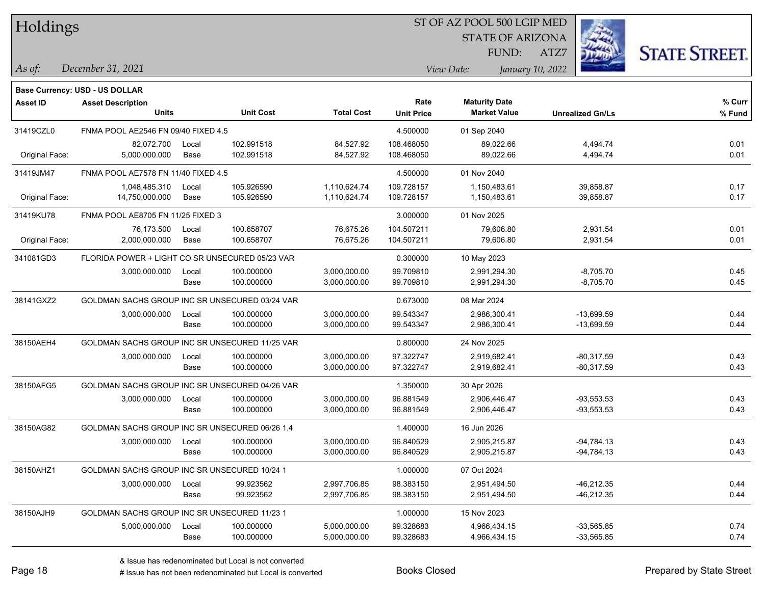|  | Holdings |
|--|----------|
|--|----------|

STATE OF ARIZONA FUND:

ATZ7



*December 31, 2021 As of: View Date: January 10, 2022*

**Base Currency: USD - US DOLLAR**

| Asset ID       | <b>Asset Description</b><br><b>Units</b>        |                                     | <b>Unit Cost</b> | <b>Total Cost</b> | Rate<br><b>Unit Price</b> | <b>Maturity Date</b><br><b>Market Value</b> | <b>Unrealized Gn/Ls</b> | % Curr<br>% Fund |
|----------------|-------------------------------------------------|-------------------------------------|------------------|-------------------|---------------------------|---------------------------------------------|-------------------------|------------------|
| 31419CZL0      | FNMA POOL AE2546 FN 09/40 FIXED 4.5             |                                     |                  |                   | 4.500000                  | 01 Sep 2040                                 |                         |                  |
|                | 82,072.700                                      | Local                               | 102.991518       | 84,527.92         | 108.468050                | 89,022.66                                   | 4,494.74                | 0.01             |
| Original Face: | 5,000,000.000                                   | Base                                | 102.991518       | 84,527.92         | 108.468050                | 89,022.66                                   | 4,494.74                | 0.01             |
| 31419JM47      |                                                 | FNMA POOL AE7578 FN 11/40 FIXED 4.5 |                  |                   |                           | 01 Nov 2040                                 |                         |                  |
|                | 1,048,485.310                                   | Local                               | 105.926590       | 1,110,624.74      | 109.728157                | 1,150,483.61                                | 39,858.87               | 0.17             |
| Original Face: | 14,750,000.000                                  | Base                                | 105.926590       | 1,110,624.74      | 109.728157                | 1,150,483.61                                | 39,858.87               | 0.17             |
| 31419KU78      | FNMA POOL AE8705 FN 11/25 FIXED 3               |                                     |                  |                   | 3.000000                  | 01 Nov 2025                                 |                         |                  |
|                | 76,173.500                                      | Local                               | 100.658707       | 76,675.26         | 104.507211                | 79,606.80                                   | 2,931.54                | 0.01             |
| Original Face: | 2,000,000.000                                   | Base                                | 100.658707       | 76,675.26         | 104.507211                | 79,606.80                                   | 2,931.54                | 0.01             |
| 341081GD3      | FLORIDA POWER + LIGHT CO SR UNSECURED 05/23 VAR |                                     |                  |                   | 0.300000                  | 10 May 2023                                 |                         |                  |
|                | 3,000,000.000                                   | Local                               | 100.000000       | 3,000,000.00      | 99.709810                 | 2,991,294.30                                | $-8,705.70$             | 0.45             |
|                |                                                 | Base                                | 100.000000       | 3,000,000.00      | 99.709810                 | 2,991,294.30                                | $-8,705.70$             | 0.45             |
| 38141GXZ2      | GOLDMAN SACHS GROUP INC SR UNSECURED 03/24 VAR  |                                     |                  |                   | 0.673000                  | 08 Mar 2024                                 |                         |                  |
|                | 3,000,000.000                                   | Local                               | 100.000000       | 3,000,000.00      | 99.543347                 | 2,986,300.41                                | $-13,699.59$            | 0.44             |
|                |                                                 | Base                                | 100.000000       | 3,000,000.00      | 99.543347                 | 2,986,300.41                                | $-13,699.59$            | 0.44             |
| 38150AEH4      | GOLDMAN SACHS GROUP INC SR UNSECURED 11/25 VAR  |                                     |                  | 0.800000          | 24 Nov 2025               |                                             |                         |                  |
|                | 3,000,000.000                                   | Local                               | 100.000000       | 3,000,000.00      | 97.322747                 | 2,919,682.41                                | $-80,317.59$            | 0.43             |
|                |                                                 | Base                                | 100.000000       | 3,000,000.00      | 97.322747                 | 2,919,682.41                                | $-80,317.59$            | 0.43             |
| 38150AFG5      | GOLDMAN SACHS GROUP INC SR UNSECURED 04/26 VAR  |                                     |                  |                   | 1.350000                  | 30 Apr 2026                                 |                         |                  |
|                | 3,000,000.000                                   | Local                               | 100.000000       | 3,000,000.00      | 96.881549                 | 2,906,446.47                                | $-93,553.53$            | 0.43             |
|                |                                                 | Base                                | 100.000000       | 3,000,000.00      | 96.881549                 | 2,906,446.47                                | $-93,553.53$            | 0.43             |
| 38150AG82      | GOLDMAN SACHS GROUP INC SR UNSECURED 06/26 1.4  |                                     |                  |                   | 1.400000                  | 16 Jun 2026                                 |                         |                  |
|                | 3,000,000.000                                   | Local                               | 100.000000       | 3,000,000.00      | 96.840529                 | 2,905,215.87                                | $-94,784.13$            | 0.43             |
|                |                                                 | Base                                | 100.000000       | 3,000,000.00      | 96.840529                 | 2,905,215.87                                | $-94,784.13$            | 0.43             |
| 38150AHZ1      | GOLDMAN SACHS GROUP INC SR UNSECURED 10/24 1    |                                     |                  |                   | 1.000000                  | 07 Oct 2024                                 |                         |                  |
|                | 3,000,000.000                                   | Local                               | 99.923562        | 2,997,706.85      | 98.383150                 | 2,951,494.50                                | $-46,212.35$            | 0.44             |
|                |                                                 | Base                                | 99.923562        | 2,997,706.85      | 98.383150                 | 2,951,494.50                                | $-46,212.35$            | 0.44             |
| 38150AJH9      | GOLDMAN SACHS GROUP INC SR UNSECURED 11/23 1    |                                     |                  |                   | 1.000000                  | 15 Nov 2023                                 |                         |                  |
|                | 5,000,000.000                                   | Local                               | 100.000000       | 5,000,000.00      | 99.328683                 | 4,966,434.15                                | $-33,565.85$            | 0.74             |
|                |                                                 | Base                                | 100.000000       | 5,000,000.00      | 99.328683                 | 4,966,434.15                                | $-33,565.85$            | 0.74             |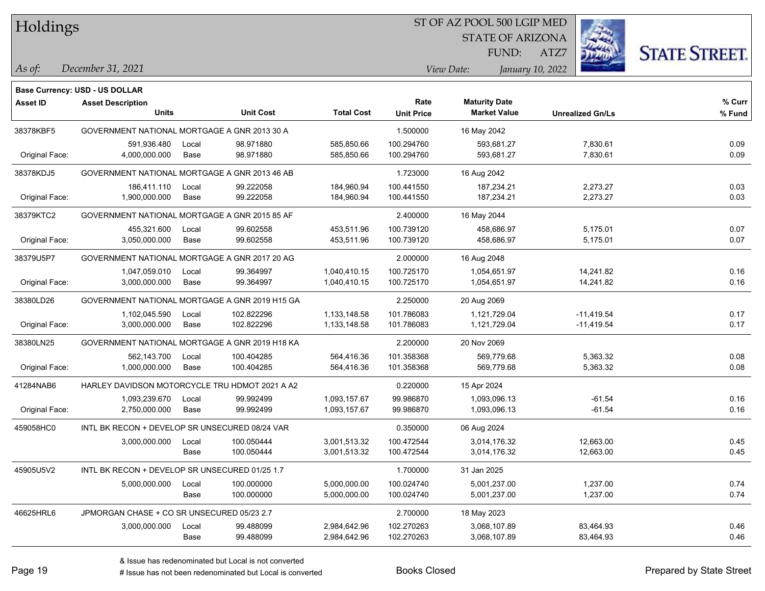Holdings

#### ST OF AZ POOL 500 LGIP MED

STATE OF ARIZONA

ATZ7



*December 31, 2021 As of: View Date: January 10, 2022*

**Base Currency: USD - US DOLLAR**

| Asset ID       | <b>Asset Description</b>                       |       |                  |                   | Rate              | <b>Maturity Date</b> |                         | % Curr |
|----------------|------------------------------------------------|-------|------------------|-------------------|-------------------|----------------------|-------------------------|--------|
|                | <b>Units</b>                                   |       | <b>Unit Cost</b> | <b>Total Cost</b> | <b>Unit Price</b> | <b>Market Value</b>  | <b>Unrealized Gn/Ls</b> | % Fund |
| 38378KBF5      | GOVERNMENT NATIONAL MORTGAGE A GNR 2013 30 A   |       |                  |                   | 1.500000          | 16 May 2042          |                         |        |
|                | 591,936.480                                    | Local | 98.971880        | 585,850.66        | 100.294760        | 593,681.27           | 7,830.61                | 0.09   |
| Original Face: | 4,000,000.000                                  | Base  | 98.971880        | 585,850.66        | 100.294760        | 593,681.27           | 7,830.61                | 0.09   |
| 38378KDJ5      | GOVERNMENT NATIONAL MORTGAGE A GNR 2013 46 AB  |       |                  |                   | 1.723000          | 16 Aug 2042          |                         |        |
|                | 186,411.110                                    | Local | 99.222058        | 184,960.94        | 100.441550        | 187,234.21           | 2,273.27                | 0.03   |
| Original Face: | 1,900,000.000                                  | Base  | 99.222058        | 184,960.94        | 100.441550        | 187,234.21           | 2,273.27                | 0.03   |
| 38379KTC2      | GOVERNMENT NATIONAL MORTGAGE A GNR 2015 85 AF  |       |                  |                   | 2.400000          | 16 May 2044          |                         |        |
|                | 455,321.600                                    | Local | 99.602558        | 453,511.96        | 100.739120        | 458,686.97           | 5,175.01                | 0.07   |
| Original Face: | 3,050,000.000                                  | Base  | 99.602558        | 453,511.96        | 100.739120        | 458,686.97           | 5,175.01                | 0.07   |
| 38379U5P7      | GOVERNMENT NATIONAL MORTGAGE A GNR 2017 20 AG  |       |                  |                   | 2.000000          | 16 Aug 2048          |                         |        |
|                | 1,047,059.010                                  | Local | 99.364997        | 1,040,410.15      | 100.725170        | 1,054,651.97         | 14,241.82               | 0.16   |
| Original Face: | 3,000,000.000                                  | Base  | 99.364997        | 1,040,410.15      | 100.725170        | 1,054,651.97         | 14,241.82               | 0.16   |
| 38380LD26      | GOVERNMENT NATIONAL MORTGAGE A GNR 2019 H15 GA |       |                  |                   | 2.250000          | 20 Aug 2069          |                         |        |
|                | 1,102,045.590                                  | Local | 102.822296       | 1,133,148.58      | 101.786083        | 1,121,729.04         | $-11,419.54$            | 0.17   |
| Original Face: | 3,000,000.000                                  | Base  | 102.822296       | 1,133,148.58      | 101.786083        | 1,121,729.04         | $-11,419.54$            | 0.17   |
| 38380LN25      | GOVERNMENT NATIONAL MORTGAGE A GNR 2019 H18 KA |       |                  |                   | 2.200000          | 20 Nov 2069          |                         |        |
|                | 562,143.700                                    | Local | 100.404285       | 564,416.36        | 101.358368        | 569,779.68           | 5,363.32                | 0.08   |
| Original Face: | 1,000,000.000                                  | Base  | 100.404285       | 564,416.36        | 101.358368        | 569,779.68           | 5,363.32                | 0.08   |
| 41284NAB6      | HARLEY DAVIDSON MOTORCYCLE TRU HDMOT 2021 A A2 |       |                  |                   | 0.220000          | 15 Apr 2024          |                         |        |
|                | 1,093,239.670                                  | Local | 99.992499        | 1,093,157.67      | 99.986870         | 1,093,096.13         | $-61.54$                | 0.16   |
| Original Face: | 2,750,000.000                                  | Base  | 99.992499        | 1,093,157.67      | 99.986870         | 1,093,096.13         | $-61.54$                | 0.16   |
| 459058HC0      | INTL BK RECON + DEVELOP SR UNSECURED 08/24 VAR |       |                  |                   | 0.350000          | 06 Aug 2024          |                         |        |
|                | 3,000,000.000                                  | Local | 100.050444       | 3,001,513.32      | 100.472544        | 3,014,176.32         | 12,663.00               | 0.45   |
|                |                                                | Base  | 100.050444       | 3,001,513.32      | 100.472544        | 3,014,176.32         | 12,663.00               | 0.45   |
| 45905U5V2      | INTL BK RECON + DEVELOP SR UNSECURED 01/25 1.7 |       |                  |                   | 1.700000          | 31 Jan 2025          |                         |        |
|                | 5,000,000.000                                  | Local | 100.000000       | 5,000,000.00      | 100.024740        | 5,001,237.00         | 1,237.00                | 0.74   |
|                |                                                | Base  | 100.000000       | 5,000,000.00      | 100.024740        | 5,001,237.00         | 1,237.00                | 0.74   |
| 46625HRL6      | JPMORGAN CHASE + CO SR UNSECURED 05/23 2.7     |       |                  |                   | 2.700000          | 18 May 2023          |                         |        |
|                | 3,000,000.000                                  | Local | 99.488099        | 2,984,642.96      | 102.270263        | 3,068,107.89         | 83,464.93               | 0.46   |
|                |                                                | Base  | 99.488099        | 2,984,642.96      | 102.270263        | 3,068,107.89         | 83,464.93               | 0.46   |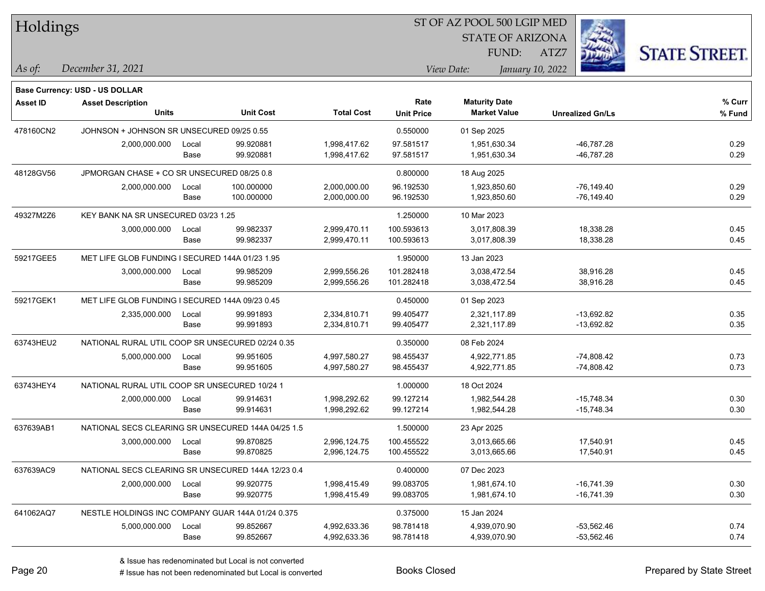| <b>Holdings</b> |                                                    |       |                  |                   |                   | 51 OF AZ POOL 500 LGIP MED |                  |                         |                      |
|-----------------|----------------------------------------------------|-------|------------------|-------------------|-------------------|----------------------------|------------------|-------------------------|----------------------|
|                 |                                                    |       |                  |                   |                   | <b>STATE OF ARIZONA</b>    |                  |                         |                      |
|                 |                                                    |       |                  |                   |                   | FUND:                      | ATZ7             |                         | <b>STATE STREET.</b> |
| As of:          | December 31, 2021                                  |       |                  |                   |                   | View Date:                 | January 10, 2022 |                         |                      |
|                 | Base Currency: USD - US DOLLAR                     |       |                  |                   |                   |                            |                  |                         |                      |
| <b>Asset ID</b> | <b>Asset Description</b>                           |       |                  |                   | Rate              | <b>Maturity Date</b>       |                  |                         | % Curr               |
|                 | <b>Units</b>                                       |       | <b>Unit Cost</b> | <b>Total Cost</b> | <b>Unit Price</b> | <b>Market Value</b>        |                  | <b>Unrealized Gn/Ls</b> | % Fund               |
| 478160CN2       | JOHNSON + JOHNSON SR UNSECURED 09/25 0.55          |       |                  |                   | 0.550000          | 01 Sep 2025                |                  |                         |                      |
|                 | 2,000,000.000                                      | Local | 99.920881        | 1,998,417.62      | 97.581517         | 1,951,630.34               |                  | -46,787.28              | 0.29                 |
|                 |                                                    | Base  | 99.920881        | 1,998,417.62      | 97.581517         | 1,951,630.34               |                  | -46,787.28              | 0.29                 |
| 48128GV56       | JPMORGAN CHASE + CO SR UNSECURED 08/25 0.8         |       |                  |                   | 0.800000          | 18 Aug 2025                |                  |                         |                      |
|                 | 2,000,000.000                                      | Local | 100.000000       | 2,000,000.00      | 96.192530         | 1,923,850.60               |                  | $-76,149.40$            | 0.29                 |
|                 |                                                    | Base  | 100.000000       | 2,000,000.00      | 96.192530         | 1,923,850.60               |                  | $-76,149.40$            | 0.29                 |
| 49327M2Z6       | KEY BANK NA SR UNSECURED 03/23 1.25                |       |                  |                   | 1.250000          | 10 Mar 2023                |                  |                         |                      |
|                 | 3,000,000.000                                      | Local | 99.982337        | 2,999,470.11      | 100.593613        | 3,017,808.39               |                  | 18,338.28               | 0.45                 |
|                 |                                                    | Base  | 99.982337        | 2,999,470.11      | 100.593613        | 3,017,808.39               |                  | 18,338.28               | 0.45                 |
| 59217GEE5       | MET LIFE GLOB FUNDING I SECURED 144A 01/23 1.95    |       |                  |                   | 1.950000          | 13 Jan 2023                |                  |                         |                      |
|                 | 3,000,000.000                                      | Local | 99.985209        | 2,999,556.26      | 101.282418        | 3,038,472.54               |                  | 38,916.28               | 0.45                 |
|                 |                                                    | Base  | 99.985209        | 2,999,556.26      | 101.282418        | 3,038,472.54               |                  | 38,916.28               | 0.45                 |
| 59217GEK1       | MET LIFE GLOB FUNDING I SECURED 144A 09/23 0.45    |       |                  |                   | 0.450000          | 01 Sep 2023                |                  |                         |                      |
|                 | 2,335,000.000                                      | Local | 99.991893        | 2,334,810.71      | 99.405477         | 2,321,117.89               |                  | $-13,692.82$            | 0.35                 |
|                 |                                                    | Base  | 99.991893        | 2,334,810.71      | 99.405477         | 2,321,117.89               |                  | $-13,692.82$            | 0.35                 |
| 63743HEU2       | NATIONAL RURAL UTIL COOP SR UNSECURED 02/24 0.35   |       |                  |                   | 0.350000          | 08 Feb 2024                |                  |                         |                      |
|                 | 5,000,000.000                                      | Local | 99.951605        | 4,997,580.27      | 98.455437         | 4,922,771.85               |                  | $-74,808.42$            | 0.73                 |
|                 |                                                    | Base  | 99.951605        | 4,997,580.27      | 98.455437         | 4,922,771.85               |                  | -74,808.42              | 0.73                 |
| 63743HEY4       | NATIONAL RURAL UTIL COOP SR UNSECURED 10/24 1      |       |                  |                   | 1.000000          | 18 Oct 2024                |                  |                         |                      |
|                 | 2,000,000.000                                      | Local | 99.914631        | 1,998,292.62      | 99.127214         | 1,982,544.28               |                  | $-15,748.34$            | 0.30                 |
|                 |                                                    | Base  | 99.914631        | 1,998,292.62      | 99.127214         | 1,982,544.28               |                  | $-15,748.34$            | 0.30                 |
| 637639AB1       | NATIONAL SECS CLEARING SR UNSECURED 144A 04/25 1.5 |       |                  |                   | 1.500000          | 23 Apr 2025                |                  |                         |                      |
|                 | 3,000,000.000                                      | Local | 99.870825        | 2.996.124.75      | 100.455522        | 3,013,665.66               |                  | 17,540.91               | 0.45                 |
|                 |                                                    | Base  | 99.870825        | 2,996,124.75      | 100.455522        | 3,013,665.66               |                  | 17,540.91               | 0.45                 |
| 637639AC9       | NATIONAL SECS CLEARING SR UNSECURED 144A 12/23 0.4 |       |                  |                   | 0.400000          | 07 Dec 2023                |                  |                         |                      |
|                 | 2,000,000.000                                      | Local | 99.920775        | 1,998,415.49      | 99.083705         | 1,981,674.10               |                  | $-16,741.39$            | 0.30                 |
|                 |                                                    | Base  | 99.920775        | 1,998,415.49      | 99.083705         | 1,981,674.10               |                  | $-16,741.39$            | 0.30                 |
| 641062AQ7       | NESTLE HOLDINGS INC COMPANY GUAR 144A 01/24 0.375  |       |                  |                   | 0.375000          | 15 Jan 2024                |                  |                         |                      |
|                 | 5,000,000.000                                      | Local | 99.852667        | 4,992,633.36      | 98.781418         | 4,939,070.90               |                  | $-53,562.46$            | 0.74                 |
|                 |                                                    | Base  | 99.852667        | 4,992,633.36      | 98.781418         | 4,939,070.90               |                  | $-53,562.46$            | 0.74                 |

 $\overline{B}$   $\overline{B}$   $\overline{B}$   $\overline{B}$   $\overline{C}$   $\overline{D}$   $\overline{D}$   $\overline{D}$   $\overline{D}$   $\overline{D}$   $\overline{D}$   $\overline{D}$   $\overline{D}$   $\overline{D}$   $\overline{D}$   $\overline{D}$   $\overline{D}$   $\overline{D}$   $\overline{D}$   $\overline{D}$   $\overline{D}$   $\overline{D}$   $\overline{D}$   $\overline{D}$   $\overline{$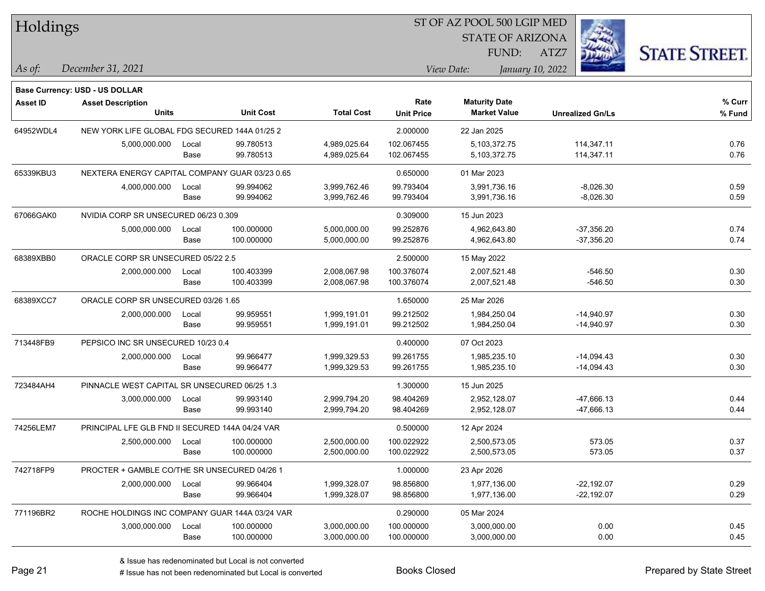| Holdings        |                                                 |       |                  |                   |                   | ST OF AZ POOL 500 LGIP MED |                         |                      |
|-----------------|-------------------------------------------------|-------|------------------|-------------------|-------------------|----------------------------|-------------------------|----------------------|
|                 |                                                 |       |                  |                   |                   | <b>STATE OF ARIZONA</b>    |                         |                      |
|                 |                                                 |       |                  |                   |                   | FUND:                      | ATZ7                    | <b>STATE STREET.</b> |
| As of:          | December 31, 2021                               |       |                  |                   |                   | View Date:                 | January 10, 2022        |                      |
|                 | <b>Base Currency: USD - US DOLLAR</b>           |       |                  |                   |                   |                            |                         |                      |
| <b>Asset ID</b> | <b>Asset Description</b>                        |       |                  |                   | Rate              | <b>Maturity Date</b>       |                         | % Curr               |
|                 | <b>Units</b>                                    |       | <b>Unit Cost</b> | <b>Total Cost</b> | <b>Unit Price</b> | <b>Market Value</b>        | <b>Unrealized Gn/Ls</b> | % Fund               |
| 64952WDL4       | NEW YORK LIFE GLOBAL FDG SECURED 144A 01/25 2   |       |                  |                   | 2.000000          | 22 Jan 2025                |                         |                      |
|                 | 5,000,000.000                                   | Local | 99.780513        | 4,989,025.64      | 102.067455        | 5,103,372.75               | 114,347.11              | 0.76                 |
|                 |                                                 | Base  | 99.780513        | 4,989,025.64      | 102.067455        | 5,103,372.75               | 114,347.11              | 0.76                 |
| 65339KBU3       | NEXTERA ENERGY CAPITAL COMPANY GUAR 03/23 0.65  |       |                  |                   | 0.650000          | 01 Mar 2023                |                         |                      |
|                 | 4,000,000.000                                   | Local | 99.994062        | 3,999,762.46      | 99.793404         | 3,991,736.16               | $-8,026.30$             | 0.59                 |
|                 |                                                 | Base  | 99.994062        | 3,999,762.46      | 99.793404         | 3,991,736.16               | $-8,026.30$             | 0.59                 |
| 67066GAK0       | NVIDIA CORP SR UNSECURED 06/23 0.309            |       |                  |                   | 0.309000          | 15 Jun 2023                |                         |                      |
|                 | 5,000,000.000                                   | Local | 100.000000       | 5,000,000.00      | 99.252876         | 4,962,643.80               | $-37,356.20$            | 0.74                 |
|                 |                                                 | Base  | 100.000000       | 5,000,000.00      | 99.252876         | 4,962,643.80               | $-37,356.20$            | 0.74                 |
| 68389XBB0       | ORACLE CORP SR UNSECURED 05/22 2.5              |       |                  |                   | 2.500000          | 15 May 2022                |                         |                      |
|                 | 2,000,000.000                                   | Local | 100.403399       | 2,008,067.98      | 100.376074        | 2,007,521.48               | -546.50                 | 0.30                 |
|                 |                                                 | Base  | 100.403399       | 2,008,067.98      | 100.376074        | 2,007,521.48               | $-546.50$               | 0.30                 |
| 68389XCC7       | ORACLE CORP SR UNSECURED 03/26 1.65             |       |                  |                   | 1.650000          | 25 Mar 2026                |                         |                      |
|                 | 2,000,000.000                                   | Local | 99.959551        | 1,999,191.01      | 99.212502         | 1,984,250.04               | $-14,940.97$            | 0.30                 |
|                 |                                                 | Base  | 99.959551        | 1,999,191.01      | 99.212502         | 1,984,250.04               | $-14,940.97$            | 0.30                 |
| 713448FB9       | PEPSICO INC SR UNSECURED 10/23 0.4              |       |                  |                   | 0.400000          | 07 Oct 2023                |                         |                      |
|                 | 2,000,000.000                                   | Local | 99.966477        | 1,999,329.53      | 99.261755         | 1,985,235.10               | $-14,094.43$            | 0.30                 |
|                 |                                                 | Base  | 99.966477        | 1,999,329.53      | 99.261755         | 1,985,235.10               | $-14,094.43$            | 0.30                 |
| 723484AH4       | PINNACLE WEST CAPITAL SR UNSECURED 06/25 1.3    |       |                  |                   | 1.300000          | 15 Jun 2025                |                         |                      |
|                 | 3,000,000.000                                   | Local | 99.993140        | 2,999,794.20      | 98.404269         | 2,952,128.07               | -47,666.13              | 0.44                 |
|                 |                                                 | Base  | 99.993140        | 2,999,794.20      | 98.404269         | 2,952,128.07               | $-47,666.13$            | 0.44                 |
| 74256LEM7       | PRINCIPAL LFE GLB FND II SECURED 144A 04/24 VAR |       |                  |                   | 0.500000          | 12 Apr 2024                |                         |                      |
|                 | 2,500,000.000                                   | Local | 100.000000       | 2,500,000.00      | 100.022922        | 2,500,573.05               | 573.05                  | 0.37                 |
|                 |                                                 | Base  | 100.000000       | 2,500,000.00      | 100.022922        | 2,500,573.05               | 573.05                  | 0.37                 |
| 742718FP9       | PROCTER + GAMBLE CO/THE SR UNSECURED 04/26 1    |       |                  |                   | 1.000000          | 23 Apr 2026                |                         |                      |
|                 | 2,000,000.000                                   | Local | 99.966404        | 1,999,328.07      | 98.856800         | 1,977,136.00               | $-22,192.07$            | 0.29                 |
|                 |                                                 | Base  | 99.966404        | 1,999,328.07      | 98.856800         | 1,977,136.00               | $-22,192.07$            | 0.29                 |
| 771196BR2       | ROCHE HOLDINGS INC COMPANY GUAR 144A 03/24 VAR  |       |                  |                   | 0.290000          | 05 Mar 2024                |                         |                      |
|                 | 3,000,000.000                                   | Local | 100.000000       | 3,000,000.00      | 100.000000        | 3,000,000.00               | 0.00                    | 0.45                 |
|                 |                                                 | Base  | 100.000000       | 3,000,000.00      | 100.000000        | 3,000,000.00               | 0.00                    | 0.45                 |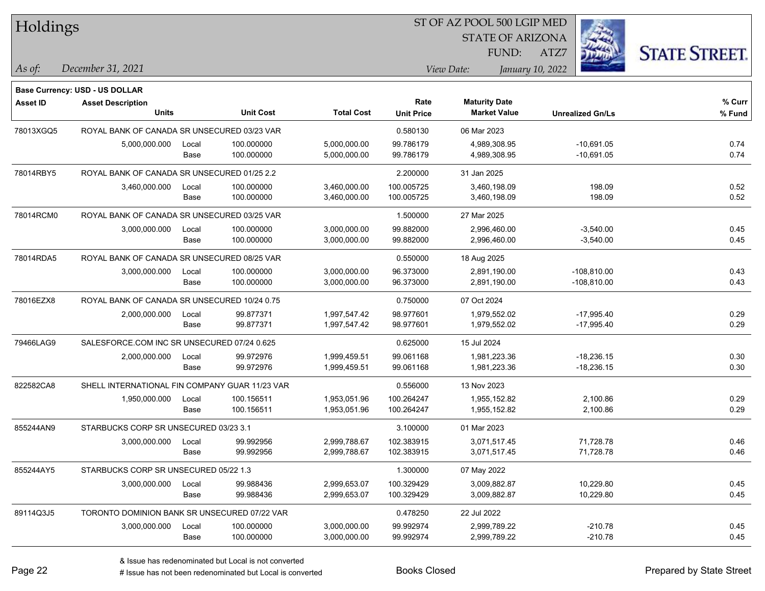| Holdings        |                                                |       |                  |                   | ST OF AZ POOL 500 LGIP MED |                         |                         |                      |  |  |  |
|-----------------|------------------------------------------------|-------|------------------|-------------------|----------------------------|-------------------------|-------------------------|----------------------|--|--|--|
|                 |                                                |       |                  |                   |                            | <b>STATE OF ARIZONA</b> |                         |                      |  |  |  |
|                 |                                                |       |                  |                   |                            | FUND:                   | ATZ7                    | <b>STATE STREET.</b> |  |  |  |
| As of:          | December 31, 2021                              |       |                  |                   |                            | View Date:              | January 10, 2022        |                      |  |  |  |
|                 | <b>Base Currency: USD - US DOLLAR</b>          |       |                  |                   |                            |                         |                         |                      |  |  |  |
| <b>Asset ID</b> | <b>Asset Description</b>                       |       |                  |                   | Rate                       | <b>Maturity Date</b>    |                         | % Curr               |  |  |  |
|                 | <b>Units</b>                                   |       | <b>Unit Cost</b> | <b>Total Cost</b> | <b>Unit Price</b>          | <b>Market Value</b>     | <b>Unrealized Gn/Ls</b> | % Fund               |  |  |  |
| 78013XGQ5       | ROYAL BANK OF CANADA SR UNSECURED 03/23 VAR    |       |                  |                   | 0.580130                   | 06 Mar 2023             |                         |                      |  |  |  |
|                 | 5,000,000.000                                  | Local | 100.000000       | 5,000,000.00      | 99.786179                  | 4,989,308.95            | $-10,691.05$            | 0.74                 |  |  |  |
|                 |                                                | Base  | 100.000000       | 5,000,000.00      | 99.786179                  | 4,989,308.95            | $-10,691.05$            | 0.74                 |  |  |  |
| 78014RBY5       | ROYAL BANK OF CANADA SR UNSECURED 01/25 2.2    |       |                  |                   | 2.200000                   | 31 Jan 2025             |                         |                      |  |  |  |
|                 | 3,460,000.000                                  | Local | 100.000000       | 3,460,000.00      | 100.005725                 | 3,460,198.09            | 198.09                  | 0.52                 |  |  |  |
|                 |                                                | Base  | 100.000000       | 3,460,000.00      | 100.005725                 | 3,460,198.09            | 198.09                  | 0.52                 |  |  |  |
| 78014RCM0       | ROYAL BANK OF CANADA SR UNSECURED 03/25 VAR    |       |                  |                   | 1.500000                   | 27 Mar 2025             |                         |                      |  |  |  |
|                 | 3,000,000.000                                  | Local | 100.000000       | 3,000,000.00      | 99.882000                  | 2,996,460.00            | $-3,540.00$             | 0.45                 |  |  |  |
|                 |                                                | Base  | 100.000000       | 3,000,000.00      | 99.882000                  | 2,996,460.00            | $-3,540.00$             | 0.45                 |  |  |  |
| 78014RDA5       | ROYAL BANK OF CANADA SR UNSECURED 08/25 VAR    |       |                  |                   | 0.550000                   | 18 Aug 2025             |                         |                      |  |  |  |
|                 | 3,000,000.000                                  | Local | 100.000000       | 3,000,000.00      | 96.373000                  | 2,891,190.00            | $-108,810.00$           | 0.43                 |  |  |  |
|                 |                                                | Base  | 100.000000       | 3,000,000.00      | 96.373000                  | 2,891,190.00            | $-108,810.00$           | 0.43                 |  |  |  |
| 78016EZX8       | ROYAL BANK OF CANADA SR UNSECURED 10/24 0.75   |       |                  |                   | 0.750000                   | 07 Oct 2024             |                         |                      |  |  |  |
|                 | 2,000,000.000                                  | Local | 99.877371        | 1,997,547.42      | 98.977601                  | 1,979,552.02            | $-17,995.40$            | 0.29                 |  |  |  |
|                 |                                                | Base  | 99.877371        | 1,997,547.42      | 98.977601                  | 1,979,552.02            | $-17,995.40$            | 0.29                 |  |  |  |
| 79466LAG9       | SALESFORCE.COM INC SR UNSECURED 07/24 0.625    |       |                  |                   | 0.625000                   | 15 Jul 2024             |                         |                      |  |  |  |
|                 | 2,000,000.000                                  | Local | 99.972976        | 1,999,459.51      | 99.061168                  | 1,981,223.36            | $-18,236.15$            | 0.30                 |  |  |  |
|                 |                                                | Base  | 99.972976        | 1,999,459.51      | 99.061168                  | 1,981,223.36            | $-18,236.15$            | 0.30                 |  |  |  |
| 822582CA8       | SHELL INTERNATIONAL FIN COMPANY GUAR 11/23 VAR |       |                  |                   | 0.556000                   | 13 Nov 2023             |                         |                      |  |  |  |
|                 | 1,950,000.000                                  | Local | 100.156511       | 1,953,051.96      | 100.264247                 | 1,955,152.82            | 2,100.86                | 0.29                 |  |  |  |
|                 |                                                | Base  | 100.156511       | 1,953,051.96      | 100.264247                 | 1,955,152.82            | 2,100.86                | 0.29                 |  |  |  |
| 855244AN9       | STARBUCKS CORP SR UNSECURED 03/23 3.1          |       |                  |                   | 3.100000                   | 01 Mar 2023             |                         |                      |  |  |  |
|                 | 3,000,000.000                                  | Local | 99.992956        | 2,999,788.67      | 102.383915                 | 3,071,517.45            | 71,728.78               | 0.46                 |  |  |  |
|                 |                                                | Base  | 99.992956        | 2,999,788.67      | 102.383915                 | 3,071,517.45            | 71,728.78               | 0.46                 |  |  |  |
| 855244AY5       | STARBUCKS CORP SR UNSECURED 05/22 1.3          |       |                  |                   | 1.300000                   | 07 May 2022             |                         |                      |  |  |  |
|                 | 3,000,000.000                                  | Local | 99.988436        | 2,999,653.07      | 100.329429                 | 3,009,882.87            | 10,229.80               | 0.45                 |  |  |  |
|                 |                                                | Base  | 99.988436        | 2,999,653.07      | 100.329429                 | 3,009,882.87            | 10,229.80               | 0.45                 |  |  |  |
| 89114Q3J5       | TORONTO DOMINION BANK SR UNSECURED 07/22 VAR   |       |                  |                   | 0.478250                   | 22 Jul 2022             |                         |                      |  |  |  |
|                 | 3,000,000.000                                  | Local | 100.000000       | 3,000,000.00      | 99.992974                  | 2,999,789.22            | $-210.78$               | 0.45                 |  |  |  |
|                 |                                                | Base  | 100.000000       | 3,000,000.00      | 99.992974                  | 2,999,789.22            | $-210.78$               | 0.45                 |  |  |  |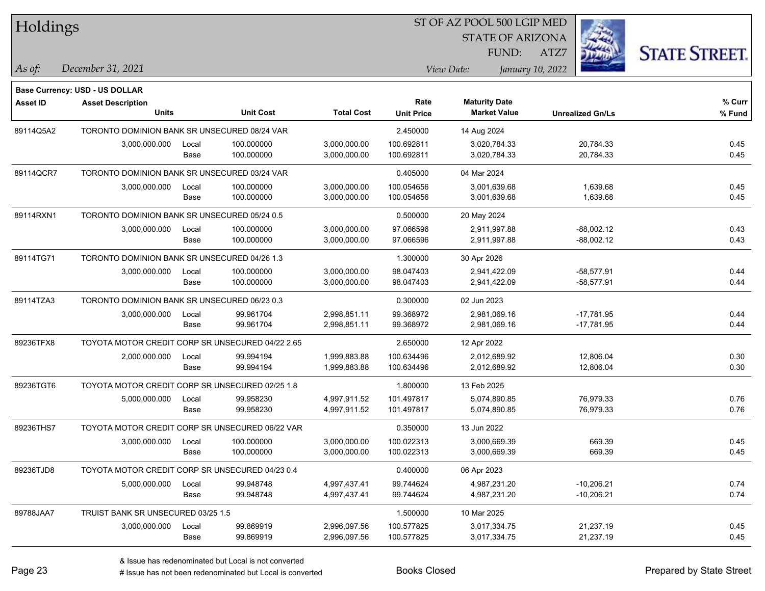| Holdings        |                                                  |       |                  |                   | ST OF AZ POOL 500 LGIP MED |                      |                         |                         |                      |
|-----------------|--------------------------------------------------|-------|------------------|-------------------|----------------------------|----------------------|-------------------------|-------------------------|----------------------|
|                 |                                                  |       |                  |                   |                            |                      | <b>STATE OF ARIZONA</b> |                         |                      |
|                 |                                                  |       |                  |                   |                            | FUND:                | ATZ7                    |                         | <b>STATE STREET.</b> |
| As of:          | December 31, 2021                                |       |                  |                   |                            | View Date:           | January 10, 2022        |                         |                      |
|                 | Base Currency: USD - US DOLLAR                   |       |                  |                   |                            |                      |                         |                         |                      |
| <b>Asset ID</b> | <b>Asset Description</b>                         |       |                  |                   | Rate                       | <b>Maturity Date</b> |                         |                         | % Curr               |
|                 | <b>Units</b>                                     |       | <b>Unit Cost</b> | <b>Total Cost</b> | <b>Unit Price</b>          | <b>Market Value</b>  |                         | <b>Unrealized Gn/Ls</b> | % Fund               |
| 89114Q5A2       | TORONTO DOMINION BANK SR UNSECURED 08/24 VAR     |       |                  |                   | 2.450000                   | 14 Aug 2024          |                         |                         |                      |
|                 | 3,000,000.000                                    | Local | 100.000000       | 3,000,000.00      | 100.692811                 | 3,020,784.33         |                         | 20,784.33               | 0.45                 |
|                 |                                                  | Base  | 100.000000       | 3,000,000.00      | 100.692811                 | 3,020,784.33         |                         | 20,784.33               | 0.45                 |
| 89114QCR7       | TORONTO DOMINION BANK SR UNSECURED 03/24 VAR     |       |                  |                   | 0.405000                   | 04 Mar 2024          |                         |                         |                      |
|                 | 3,000,000.000                                    | Local | 100.000000       | 3,000,000.00      | 100.054656                 | 3,001,639.68         |                         | 1,639.68                | 0.45                 |
|                 |                                                  | Base  | 100.000000       | 3,000,000.00      | 100.054656                 | 3,001,639.68         |                         | 1,639.68                | 0.45                 |
| 89114RXN1       | TORONTO DOMINION BANK SR UNSECURED 05/24 0.5     |       |                  |                   | 0.500000                   | 20 May 2024          |                         |                         |                      |
|                 | 3,000,000.000                                    | Local | 100.000000       | 3,000,000.00      | 97.066596                  | 2,911,997.88         |                         | $-88,002.12$            | 0.43                 |
|                 |                                                  | Base  | 100.000000       | 3,000,000.00      | 97.066596                  | 2,911,997.88         |                         | $-88,002.12$            | 0.43                 |
| 89114TG71       | TORONTO DOMINION BANK SR UNSECURED 04/26 1.3     |       |                  |                   | 1.300000                   | 30 Apr 2026          |                         |                         |                      |
|                 | 3,000,000.000                                    | Local | 100.000000       | 3,000,000.00      | 98.047403                  | 2,941,422.09         |                         | $-58,577.91$            | 0.44                 |
|                 |                                                  | Base  | 100.000000       | 3,000,000.00      | 98.047403                  | 2,941,422.09         |                         | $-58,577.91$            | 0.44                 |
| 89114TZA3       | TORONTO DOMINION BANK SR UNSECURED 06/23 0.3     |       |                  |                   | 0.300000                   | 02 Jun 2023          |                         |                         |                      |
|                 | 3,000,000.000                                    | Local | 99.961704        | 2,998,851.11      | 99.368972                  | 2,981,069.16         |                         | $-17,781.95$            | 0.44                 |
|                 |                                                  | Base  | 99.961704        | 2,998,851.11      | 99.368972                  | 2,981,069.16         |                         | $-17,781.95$            | 0.44                 |
| 89236TFX8       | TOYOTA MOTOR CREDIT CORP SR UNSECURED 04/22 2.65 |       |                  |                   | 2.650000                   | 12 Apr 2022          |                         |                         |                      |
|                 | 2,000,000.000                                    | Local | 99.994194        | 1,999,883.88      | 100.634496                 | 2,012,689.92         |                         | 12,806.04               | 0.30                 |
|                 |                                                  | Base  | 99.994194        | 1,999,883.88      | 100.634496                 | 2,012,689.92         |                         | 12,806.04               | 0.30                 |
| 89236TGT6       | TOYOTA MOTOR CREDIT CORP SR UNSECURED 02/25 1.8  |       |                  |                   | 1.800000                   | 13 Feb 2025          |                         |                         |                      |
|                 | 5,000,000.000                                    | Local | 99.958230        | 4,997,911.52      | 101.497817                 | 5,074,890.85         |                         | 76,979.33               | 0.76                 |
|                 |                                                  | Base  | 99.958230        | 4,997,911.52      | 101.497817                 | 5,074,890.85         |                         | 76,979.33               | 0.76                 |
| 89236THS7       | TOYOTA MOTOR CREDIT CORP SR UNSECURED 06/22 VAR  |       |                  |                   | 0.350000                   | 13 Jun 2022          |                         |                         |                      |
|                 | 3,000,000.000                                    | Local | 100.000000       | 3,000,000.00      | 100.022313                 | 3,000,669.39         |                         | 669.39                  | 0.45                 |
|                 |                                                  | Base  | 100.000000       | 3,000,000.00      | 100.022313                 | 3,000,669.39         |                         | 669.39                  | 0.45                 |
| 89236TJD8       | TOYOTA MOTOR CREDIT CORP SR UNSECURED 04/23 0.4  |       |                  |                   | 0.400000                   | 06 Apr 2023          |                         |                         |                      |
|                 | 5,000,000.000                                    | Local | 99.948748        | 4,997,437.41      | 99.744624                  | 4,987,231.20         |                         | $-10,206.21$            | 0.74                 |
|                 |                                                  | Base  | 99.948748        | 4,997,437.41      | 99.744624                  | 4,987,231.20         |                         | $-10,206.21$            | 0.74                 |
| 89788JAA7       | TRUIST BANK SR UNSECURED 03/25 1.5               |       |                  |                   | 1.500000                   | 10 Mar 2025          |                         |                         |                      |
|                 | 3,000,000.000                                    | Local | 99.869919        | 2,996,097.56      | 100.577825                 | 3,017,334.75         |                         | 21,237.19               | 0.45                 |
|                 |                                                  | Base  | 99.869919        | 2,996,097.56      | 100.577825                 | 3,017,334.75         |                         | 21,237.19               | 0.45                 |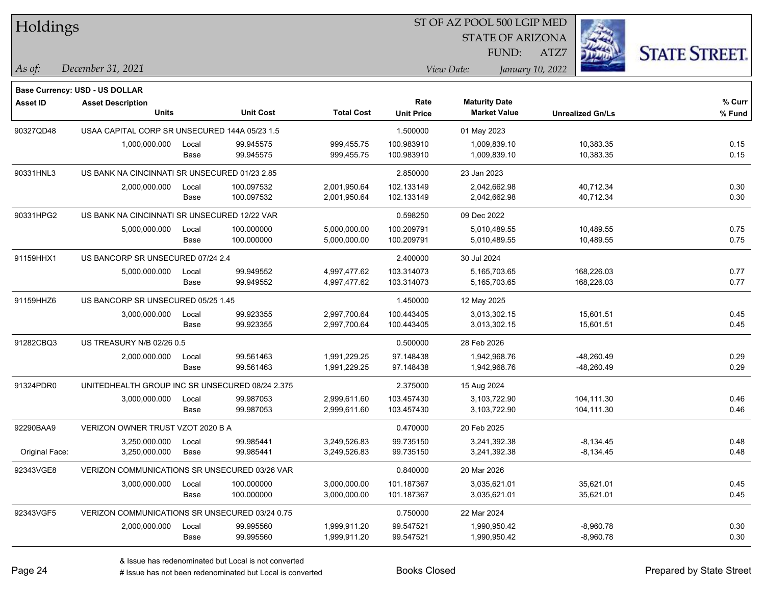| Holdings        |                                                 |       |                  |                   |                   | ST OF AZ POOL 500 LGIP MED |                         |                         |                      |  |
|-----------------|-------------------------------------------------|-------|------------------|-------------------|-------------------|----------------------------|-------------------------|-------------------------|----------------------|--|
|                 |                                                 |       |                  |                   |                   |                            | <b>STATE OF ARIZONA</b> |                         |                      |  |
|                 |                                                 |       |                  |                   |                   | FUND:                      | ATZ7                    |                         | <b>STATE STREET.</b> |  |
| As of:          | December 31, 2021                               |       |                  |                   |                   | View Date:                 | January 10, 2022        |                         |                      |  |
|                 | Base Currency: USD - US DOLLAR                  |       |                  |                   |                   |                            |                         |                         |                      |  |
| <b>Asset ID</b> | <b>Asset Description</b>                        |       |                  |                   | Rate              | <b>Maturity Date</b>       |                         |                         | % Curr               |  |
|                 | <b>Units</b>                                    |       | <b>Unit Cost</b> | <b>Total Cost</b> | <b>Unit Price</b> | <b>Market Value</b>        |                         | <b>Unrealized Gn/Ls</b> | % Fund               |  |
| 90327QD48       | USAA CAPITAL CORP SR UNSECURED 144A 05/23 1.5   |       |                  |                   | 1.500000          | 01 May 2023                |                         |                         |                      |  |
|                 | 1,000,000.000                                   | Local | 99.945575        | 999,455.75        | 100.983910        | 1,009,839.10               |                         | 10,383.35               | 0.15                 |  |
|                 |                                                 | Base  | 99.945575        | 999,455.75        | 100.983910        | 1,009,839.10               |                         | 10,383.35               | 0.15                 |  |
| 90331HNL3       | US BANK NA CINCINNATI SR UNSECURED 01/23 2.85   |       |                  |                   | 2.850000          | 23 Jan 2023                |                         |                         |                      |  |
|                 | 2,000,000.000                                   | Local | 100.097532       | 2,001,950.64      | 102.133149        | 2,042,662.98               |                         | 40,712.34               | 0.30                 |  |
|                 |                                                 | Base  | 100.097532       | 2,001,950.64      | 102.133149        | 2,042,662.98               |                         | 40,712.34               | 0.30                 |  |
| 90331HPG2       | US BANK NA CINCINNATI SR UNSECURED 12/22 VAR    |       |                  |                   | 0.598250          | 09 Dec 2022                |                         |                         |                      |  |
|                 | 5,000,000.000                                   | Local | 100.000000       | 5,000,000.00      | 100.209791        | 5,010,489.55               |                         | 10,489.55               | 0.75                 |  |
|                 |                                                 | Base  | 100.000000       | 5,000,000.00      | 100.209791        | 5,010,489.55               |                         | 10,489.55               | 0.75                 |  |
| 91159HHX1       | US BANCORP SR UNSECURED 07/24 2.4               |       |                  |                   | 2.400000          | 30 Jul 2024                |                         |                         |                      |  |
|                 | 5,000,000.000                                   | Local | 99.949552        | 4,997,477.62      | 103.314073        | 5,165,703.65               |                         | 168.226.03              | 0.77                 |  |
|                 |                                                 | Base  | 99.949552        | 4,997,477.62      | 103.314073        | 5,165,703.65               |                         | 168,226.03              | 0.77                 |  |
| 91159HHZ6       | US BANCORP SR UNSECURED 05/25 1.45              |       |                  |                   | 1.450000          | 12 May 2025                |                         |                         |                      |  |
|                 | 3,000,000.000                                   | Local | 99.923355        | 2,997,700.64      | 100.443405        | 3,013,302.15               |                         | 15,601.51               | 0.45                 |  |
|                 |                                                 | Base  | 99.923355        | 2,997,700.64      | 100.443405        | 3,013,302.15               |                         | 15,601.51               | 0.45                 |  |
| 91282CBQ3       | US TREASURY N/B 02/26 0.5                       |       |                  |                   | 0.500000          | 28 Feb 2026                |                         |                         |                      |  |
|                 | 2,000,000.000                                   | Local | 99.561463        | 1,991,229.25      | 97.148438         | 1,942,968.76               |                         | $-48,260.49$            | 0.29                 |  |
|                 |                                                 | Base  | 99.561463        | 1,991,229.25      | 97.148438         | 1,942,968.76               |                         | $-48,260.49$            | 0.29                 |  |
| 91324PDR0       | UNITEDHEALTH GROUP INC SR UNSECURED 08/24 2.375 |       |                  |                   | 2.375000          | 15 Aug 2024                |                         |                         |                      |  |
|                 | 3,000,000.000                                   | Local | 99.987053        | 2,999,611.60      | 103.457430        | 3,103,722.90               |                         | 104,111.30              | 0.46                 |  |
|                 |                                                 | Base  | 99.987053        | 2,999,611.60      | 103.457430        | 3,103,722.90               |                         | 104,111.30              | 0.46                 |  |
| 92290BAA9       | VERIZON OWNER TRUST VZOT 2020 B A               |       |                  |                   | 0.470000          | 20 Feb 2025                |                         |                         |                      |  |
|                 | 3,250,000.000 Local                             |       | 99.985441        | 3,249,526.83      | 99.735150         | 3,241,392.38               |                         | $-8,134.45$             | 0.48                 |  |
| Original Face:  | 3,250,000.000                                   | Base  | 99.985441        | 3,249,526.83      | 99.735150         | 3,241,392.38               |                         | $-8,134.45$             | 0.48                 |  |
| 92343VGE8       | VERIZON COMMUNICATIONS SR UNSECURED 03/26 VAR   |       |                  |                   | 0.840000          | 20 Mar 2026                |                         |                         |                      |  |
|                 | 3,000,000.000                                   | Local | 100.000000       | 3,000,000.00      | 101.187367        | 3,035,621.01               |                         | 35,621.01               | 0.45                 |  |
|                 |                                                 | Base  | 100.000000       | 3,000,000.00      | 101.187367        | 3,035,621.01               |                         | 35,621.01               | 0.45                 |  |
| 92343VGF5       | VERIZON COMMUNICATIONS SR UNSECURED 03/24 0.75  |       |                  |                   | 0.750000          | 22 Mar 2024                |                         |                         |                      |  |
|                 | 2,000,000.000                                   | Local | 99.995560        | 1,999,911.20      | 99.547521         | 1,990,950.42               |                         | $-8,960.78$             | 0.30                 |  |
|                 |                                                 | Base  | 99.995560        | 1,999,911.20      | 99.547521         | 1,990,950.42               |                         | $-8,960.78$             | 0.30                 |  |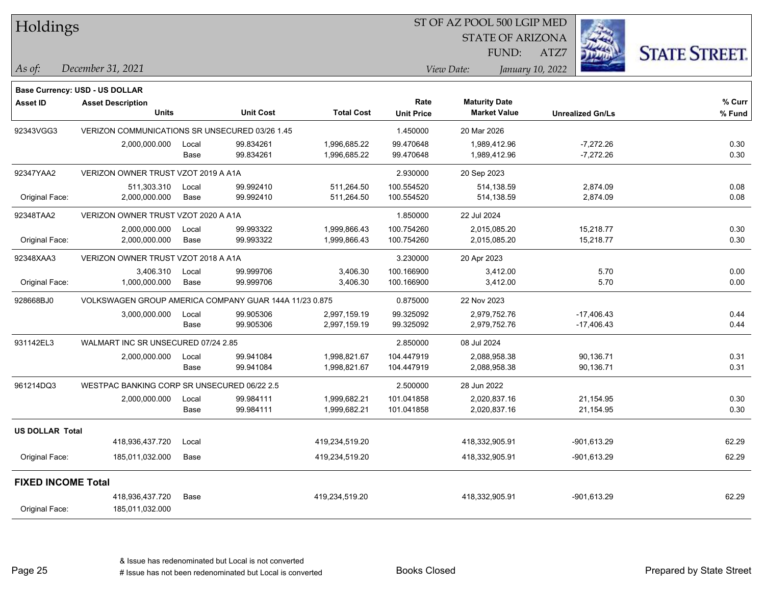| Holdings |
|----------|
|          |

Page 25

#### ST OF AZ POOL 500 LGIP MED

STATE OF ARIZONA

ATZ7



*December 31, 2021 As of: View Date: January 10, 2022*

**Base Currency: USD - US DOLLAR**

| <b>Asset ID</b>           | <b>Asset Description</b>                               |       |                  |                   | Rate              | <b>Maturity Date</b> |                         | % Curr |
|---------------------------|--------------------------------------------------------|-------|------------------|-------------------|-------------------|----------------------|-------------------------|--------|
|                           | <b>Units</b>                                           |       | <b>Unit Cost</b> | <b>Total Cost</b> | <b>Unit Price</b> | <b>Market Value</b>  | <b>Unrealized Gn/Ls</b> | % Fund |
| 92343VGG3                 | VERIZON COMMUNICATIONS SR UNSECURED 03/26 1.45         |       |                  |                   | 1.450000          | 20 Mar 2026          |                         |        |
|                           | 2,000,000.000                                          | Local | 99.834261        | 1,996,685.22      | 99.470648         | 1,989,412.96         | $-7,272.26$             | 0.30   |
|                           |                                                        | Base  | 99.834261        | 1,996,685.22      | 99.470648         | 1,989,412.96         | $-7,272.26$             | 0.30   |
| 92347YAA2                 | VERIZON OWNER TRUST VZOT 2019 A A1A                    |       |                  |                   | 2.930000          | 20 Sep 2023          |                         |        |
|                           | 511,303.310                                            | Local | 99.992410        | 511,264.50        | 100.554520        | 514,138.59           | 2,874.09                | 0.08   |
| Original Face:            | 2,000,000.000                                          | Base  | 99.992410        | 511,264.50        | 100.554520        | 514,138.59           | 2,874.09                | 0.08   |
| 92348TAA2                 | VERIZON OWNER TRUST VZOT 2020 A A1A                    |       |                  |                   | 1.850000          | 22 Jul 2024          |                         |        |
|                           | 2,000,000.000                                          | Local | 99.993322        | 1,999,866.43      | 100.754260        | 2,015,085.20         | 15,218.77               | 0.30   |
| Original Face:            | 2,000,000.000                                          | Base  | 99.993322        | 1,999,866.43      | 100.754260        | 2,015,085.20         | 15,218.77               | 0.30   |
| 92348XAA3                 | VERIZON OWNER TRUST VZOT 2018 A A1A                    |       |                  |                   | 3.230000          | 20 Apr 2023          |                         |        |
|                           | 3,406.310                                              | Local | 99.999706        | 3,406.30          | 100.166900        | 3,412.00             | 5.70                    | 0.00   |
| Original Face:            | 1,000,000.000                                          | Base  | 99.999706        | 3,406.30          | 100.166900        | 3,412.00             | 5.70                    | 0.00   |
| 928668BJ0                 | VOLKSWAGEN GROUP AMERICA COMPANY GUAR 144A 11/23 0.875 |       |                  |                   | 0.875000          | 22 Nov 2023          |                         |        |
|                           | 3,000,000.000                                          | Local | 99.905306        | 2,997,159.19      | 99.325092         | 2,979,752.76         | $-17,406.43$            | 0.44   |
|                           |                                                        | Base  | 99.905306        | 2,997,159.19      | 99.325092         | 2,979,752.76         | $-17,406.43$            | 0.44   |
| 931142EL3                 | WALMART INC SR UNSECURED 07/24 2.85                    |       |                  |                   | 2.850000          | 08 Jul 2024          |                         |        |
|                           | 2,000,000.000                                          | Local | 99.941084        | 1,998,821.67      | 104.447919        | 2,088,958.38         | 90,136.71               | 0.31   |
|                           |                                                        | Base  | 99.941084        | 1,998,821.67      | 104.447919        | 2,088,958.38         | 90,136.71               | 0.31   |
| 961214DQ3                 | WESTPAC BANKING CORP SR UNSECURED 06/22 2.5            |       |                  |                   | 2.500000          | 28 Jun 2022          |                         |        |
|                           | 2,000,000.000                                          | Local | 99.984111        | 1,999,682.21      | 101.041858        | 2,020,837.16         | 21,154.95               | 0.30   |
|                           |                                                        | Base  | 99.984111        | 1,999,682.21      | 101.041858        | 2,020,837.16         | 21,154.95               | 0.30   |
| <b>US DOLLAR Total</b>    |                                                        |       |                  |                   |                   |                      |                         |        |
|                           | 418,936,437.720                                        | Local |                  | 419,234,519.20    |                   | 418,332,905.91       | $-901,613.29$           | 62.29  |
| Original Face:            | 185,011,032.000                                        | Base  |                  | 419,234,519.20    |                   | 418,332,905.91       | -901,613.29             | 62.29  |
| <b>FIXED INCOME Total</b> |                                                        |       |                  |                   |                   |                      |                         |        |
|                           | 418,936,437.720                                        | Base  |                  | 419,234,519.20    |                   | 418,332,905.91       | $-901,613.29$           | 62.29  |
| Original Face:            | 185,011,032.000                                        |       |                  |                   |                   |                      |                         |        |
|                           |                                                        |       |                  |                   |                   |                      |                         |        |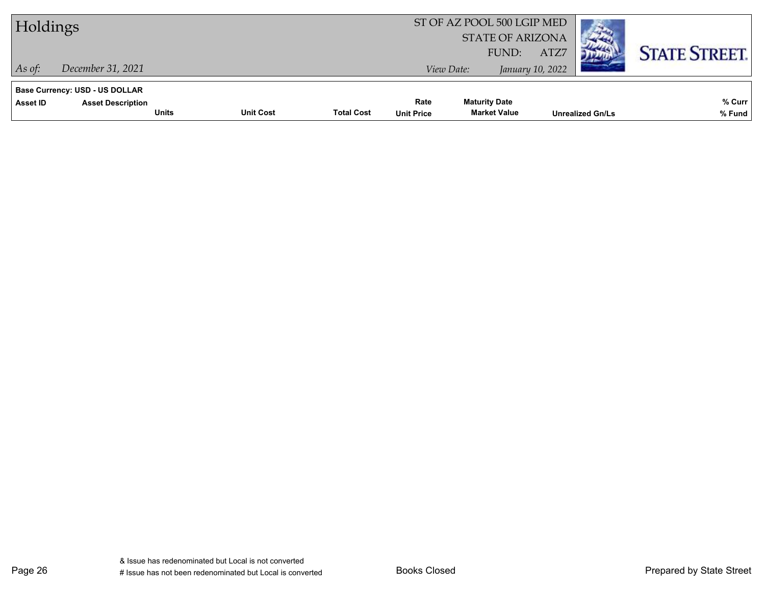| Holdings                                                                      |                                  |                   |                           | ST OF AZ POOL 500 LGIP MED<br><b>STATE OF ARIZONA</b> |                          |                         |                      |
|-------------------------------------------------------------------------------|----------------------------------|-------------------|---------------------------|-------------------------------------------------------|--------------------------|-------------------------|----------------------|
| December 31, 2021<br>$As$ of:                                                 |                                  |                   | View Date:                | FUND:                                                 | ATZ7<br>January 10, 2022 |                         | <b>STATE STREET.</b> |
| <b>Base Currency: USD - US DOLLAR</b><br><b>Asset Description</b><br>Asset ID | <b>Unit Cost</b><br><b>Units</b> | <b>Total Cost</b> | Rate<br><b>Unit Price</b> | <b>Maturity Date</b><br><b>Market Value</b>           |                          | <b>Unrealized Gn/Ls</b> | % Curr<br>% Fund     |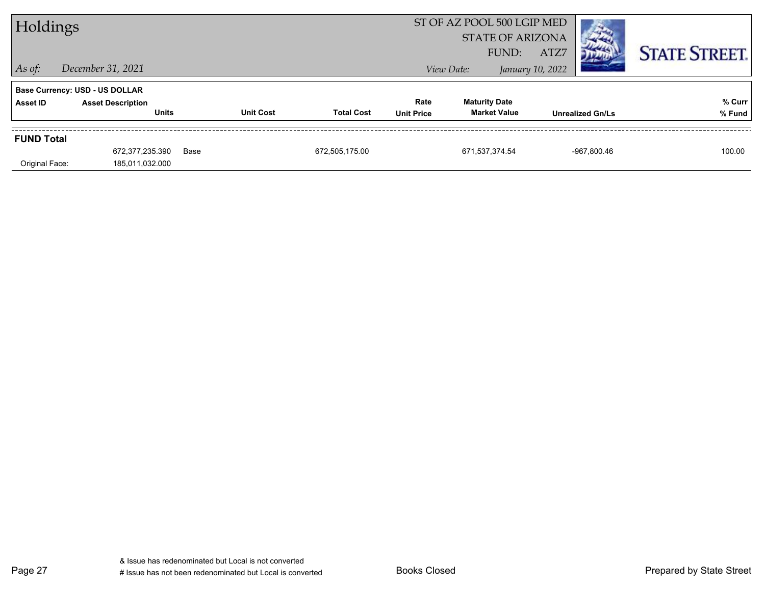| Holdings          |                                          |      |                  | ST OF AZ POOL 500 LGIP MED<br><b>STATE OF ARIZONA</b> |                           |                                             |                  |                         |                      |
|-------------------|------------------------------------------|------|------------------|-------------------------------------------------------|---------------------------|---------------------------------------------|------------------|-------------------------|----------------------|
| $\vert$ As of:    | December 31, 2021                        |      |                  |                                                       |                           | FUND:<br>View Date:                         | ATZ7             |                         | <b>STATE STREET.</b> |
|                   |                                          |      |                  |                                                       |                           |                                             | January 10, 2022 |                         |                      |
|                   | <b>Base Currency: USD - US DOLLAR</b>    |      |                  |                                                       |                           |                                             |                  |                         |                      |
| Asset ID          | <b>Asset Description</b><br><b>Units</b> |      | <b>Unit Cost</b> | <b>Total Cost</b>                                     | Rate<br><b>Unit Price</b> | <b>Maturity Date</b><br><b>Market Value</b> |                  | <b>Unrealized Gn/Ls</b> | % Curr<br>% Fund     |
|                   |                                          |      |                  |                                                       |                           |                                             |                  |                         |                      |
| <b>FUND Total</b> |                                          |      |                  |                                                       |                           |                                             |                  |                         |                      |
|                   | 672,377,235.390                          | Base |                  | 672,505,175.00                                        |                           | 671,537,374.54                              |                  | -967,800.46             | 100.00               |
| Original Face:    | 185,011,032.000                          |      |                  |                                                       |                           |                                             |                  |                         |                      |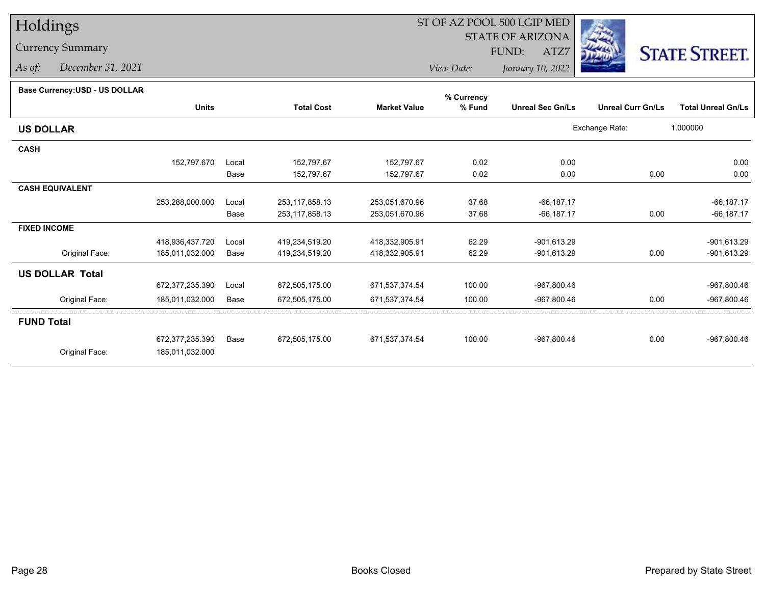## Holdings

#### Currency Summary

*As of: December 31, 2021*

### ST OF AZ POOL 500 LGIP MED

 STATE OF ARIZONAFUND:

ATZ7



*View Date:January 10, 2022*

| Dase Currency: USD - US DOLLAR |                 |       |                   |                     | % Currency |                         |                          |                           |
|--------------------------------|-----------------|-------|-------------------|---------------------|------------|-------------------------|--------------------------|---------------------------|
|                                | <b>Units</b>    |       | <b>Total Cost</b> | <b>Market Value</b> | % Fund     | <b>Unreal Sec Gn/Ls</b> | <b>Unreal Curr Gn/Ls</b> | <b>Total Unreal Gn/Ls</b> |
| <b>US DOLLAR</b>               |                 |       |                   |                     |            |                         | Exchange Rate:           | 1.000000                  |
| <b>CASH</b>                    |                 |       |                   |                     |            |                         |                          |                           |
|                                | 152,797.670     | Local | 152,797.67        | 152,797.67          | 0.02       | 0.00                    |                          | 0.00                      |
|                                |                 | Base  | 152,797.67        | 152,797.67          | 0.02       | 0.00                    | 0.00                     | 0.00                      |
| <b>CASH EQUIVALENT</b>         |                 |       |                   |                     |            |                         |                          |                           |
|                                | 253,288,000.000 | Local | 253,117,858.13    | 253,051,670.96      | 37.68      | $-66, 187.17$           |                          | $-66, 187.17$             |
|                                |                 | Base  | 253,117,858.13    | 253,051,670.96      | 37.68      | $-66, 187.17$           | 0.00                     | $-66, 187.17$             |
| <b>FIXED INCOME</b>            |                 |       |                   |                     |            |                         |                          |                           |
|                                | 418,936,437.720 | Local | 419,234,519.20    | 418,332,905.91      | 62.29      | $-901,613.29$           |                          | $-901,613.29$             |
| Original Face:                 | 185,011,032.000 | Base  | 419,234,519.20    | 418,332,905.91      | 62.29      | -901,613.29             | 0.00                     | $-901,613.29$             |
| <b>US DOLLAR Total</b>         |                 |       |                   |                     |            |                         |                          |                           |
|                                | 672,377,235.390 | Local | 672,505,175.00    | 671,537,374.54      | 100.00     | -967,800.46             |                          | -967,800.46               |
| Original Face:                 | 185,011,032.000 | Base  | 672,505,175.00    | 671,537,374.54      | 100.00     | -967,800.46             | 0.00                     | $-967,800.46$             |
| <b>FUND Total</b>              |                 |       |                   |                     |            |                         |                          |                           |
|                                | 672.377.235.390 | Base  | 672,505,175.00    | 671,537,374.54      | 100.00     | -967.800.46             | 0.00                     | $-967,800.46$             |
| Original Face:                 | 185,011,032.000 |       |                   |                     |            |                         |                          |                           |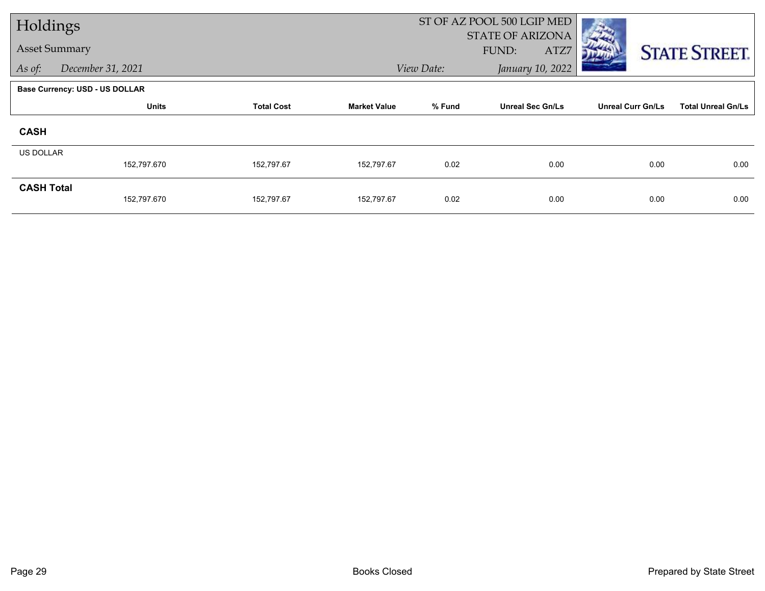| Holdings             |                                |                   |                     | ST OF AZ POOL 500 LGIP MED |                         |                          |                           |
|----------------------|--------------------------------|-------------------|---------------------|----------------------------|-------------------------|--------------------------|---------------------------|
| <b>Asset Summary</b> |                                |                   |                     |                            | STATE OF ARIZONA        |                          |                           |
|                      |                                |                   |                     |                            | ATZ7<br>FUND:           |                          | <b>STATE STREET.</b>      |
| As of:               | December 31, 2021              |                   |                     | View Date:                 | January 10, 2022        |                          |                           |
|                      | Base Currency: USD - US DOLLAR |                   |                     |                            |                         |                          |                           |
|                      | <b>Units</b>                   | <b>Total Cost</b> | <b>Market Value</b> | % Fund                     | <b>Unreal Sec Gn/Ls</b> | <b>Unreal Curr Gn/Ls</b> | <b>Total Unreal Gn/Ls</b> |
| <b>CASH</b>          |                                |                   |                     |                            |                         |                          |                           |
| <b>US DOLLAR</b>     |                                |                   |                     |                            |                         |                          |                           |
|                      | 152,797.670                    | 152,797.67        | 152,797.67          | 0.02                       | 0.00                    | 0.00                     | 0.00                      |
| <b>CASH Total</b>    |                                |                   |                     |                            |                         |                          |                           |
|                      | 152,797.670                    | 152,797.67        | 152,797.67          | 0.02                       | 0.00                    | 0.00                     | 0.00                      |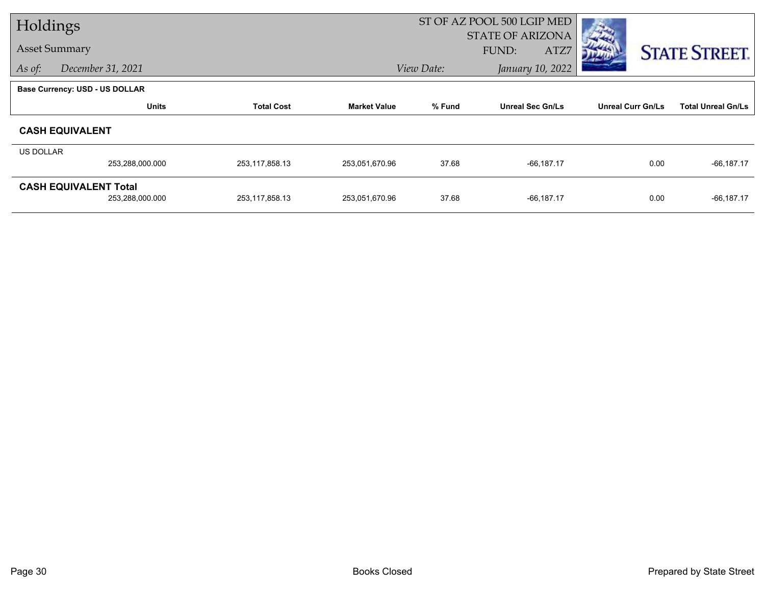| Holdings             |                                       |                   |                     | ST OF AZ POOL 500 LGIP MED     |                         |                          |                           |  |  |
|----------------------|---------------------------------------|-------------------|---------------------|--------------------------------|-------------------------|--------------------------|---------------------------|--|--|
|                      |                                       |                   |                     | <b>STATE OF ARIZONA</b>        |                         |                          |                           |  |  |
| <b>Asset Summary</b> |                                       |                   |                     | ATZ7<br>FUND:                  |                         | <b>STATE STREET.</b>     |                           |  |  |
| As of:               | December 31, 2021                     |                   |                     | January 10, 2022<br>View Date: |                         |                          |                           |  |  |
|                      | <b>Base Currency: USD - US DOLLAR</b> |                   |                     |                                |                         |                          |                           |  |  |
|                      | <b>Units</b>                          | <b>Total Cost</b> | <b>Market Value</b> | % Fund                         | <b>Unreal Sec Gn/Ls</b> | <b>Unreal Curr Gn/Ls</b> | <b>Total Unreal Gn/Ls</b> |  |  |
|                      | <b>CASH EQUIVALENT</b>                |                   |                     |                                |                         |                          |                           |  |  |
| US DOLLAR            |                                       |                   |                     |                                |                         |                          |                           |  |  |
|                      | 253,288,000.000                       | 253,117,858.13    | 253,051,670.96      | 37.68                          | $-66, 187.17$           | 0.00                     | $-66, 187.17$             |  |  |
|                      | <b>CASH EQUIVALENT Total</b>          |                   |                     |                                |                         |                          |                           |  |  |
|                      | 253,288,000.000                       | 253,117,858.13    | 253,051,670.96      | 37.68                          | $-66, 187.17$           | 0.00                     | $-66, 187.17$             |  |  |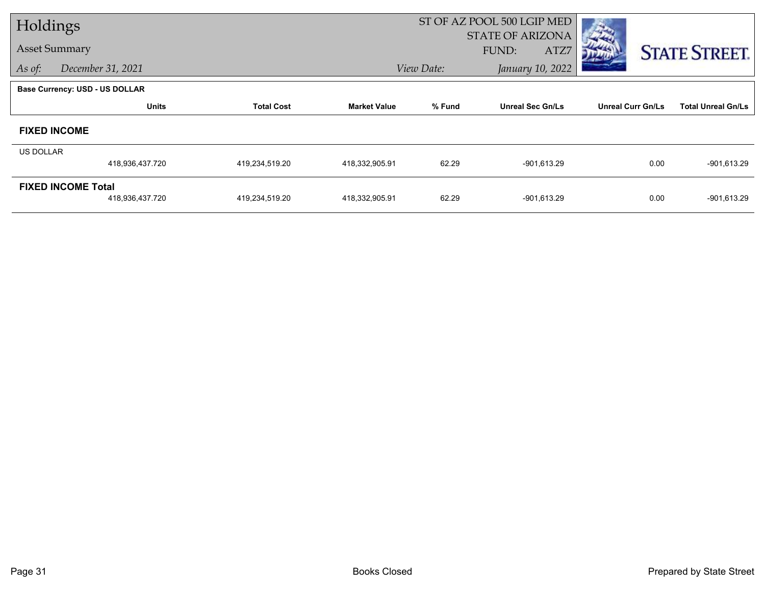| Holdings                  |                                       |                   |                     | ST OF AZ POOL 500 LGIP MED     |                         |                          |                           |
|---------------------------|---------------------------------------|-------------------|---------------------|--------------------------------|-------------------------|--------------------------|---------------------------|
|                           |                                       |                   |                     | <b>STATE OF ARIZONA</b>        |                         |                          |                           |
| <b>Asset Summary</b>      |                                       |                   |                     | ATZ7<br>FUND:                  |                         | <b>STATE STREET.</b>     |                           |
| As of:                    | December 31, 2021                     |                   |                     | January 10, 2022<br>View Date: |                         |                          |                           |
|                           | <b>Base Currency: USD - US DOLLAR</b> |                   |                     |                                |                         |                          |                           |
|                           | <b>Units</b>                          | <b>Total Cost</b> | <b>Market Value</b> | % Fund                         | <b>Unreal Sec Gn/Ls</b> | <b>Unreal Curr Gn/Ls</b> | <b>Total Unreal Gn/Ls</b> |
|                           | <b>FIXED INCOME</b>                   |                   |                     |                                |                         |                          |                           |
| <b>US DOLLAR</b>          |                                       |                   |                     |                                |                         |                          |                           |
|                           | 418,936,437.720                       | 419,234,519.20    | 418,332,905.91      | 62.29                          | -901,613.29             | 0.00                     | $-901,613.29$             |
| <b>FIXED INCOME Total</b> |                                       |                   |                     |                                |                         |                          |                           |
|                           | 418,936,437.720                       | 419,234,519.20    | 418,332,905.91      | 62.29                          | -901,613.29             | 0.00                     | $-901,613.29$             |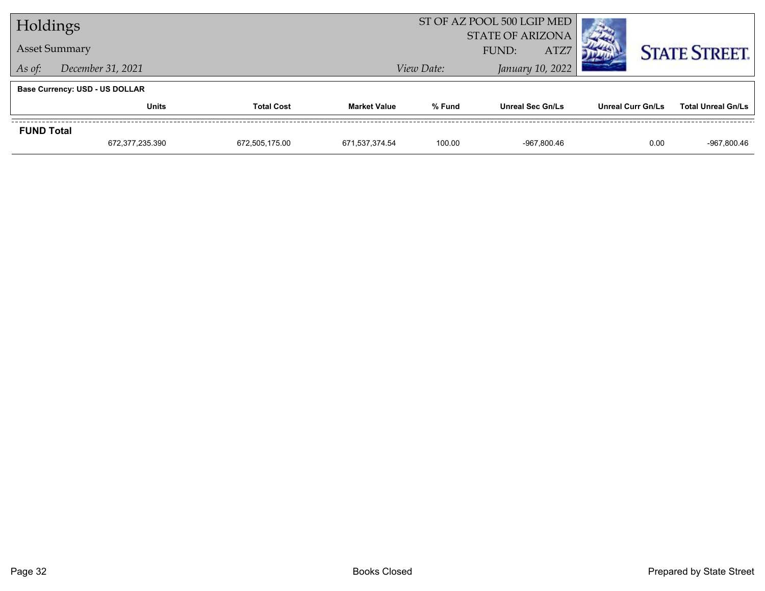| Holdings                    |                                |                   |                     | ST OF AZ POOL 500 LGIP MED      |                         |                      |                           |
|-----------------------------|--------------------------------|-------------------|---------------------|---------------------------------|-------------------------|----------------------|---------------------------|
|                             |                                |                   |                     | <b>STATE OF ARIZONA</b><br>ATZ7 |                         |                      |                           |
| <b>Asset Summary</b>        |                                |                   | FUND:               |                                 |                         | <b>STATE STREET.</b> |                           |
| December 31, 2021<br>As of: |                                |                   |                     | View Date:                      | January 10, 2022        |                      |                           |
|                             | Base Currency: USD - US DOLLAR |                   |                     |                                 |                         |                      |                           |
|                             | <b>Units</b>                   | <b>Total Cost</b> | <b>Market Value</b> | % Fund                          | <b>Unreal Sec Gn/Ls</b> | Unreal Curr Gn/Ls    | <b>Total Unreal Gn/Ls</b> |
| <b>FUND Total</b>           |                                |                   |                     |                                 |                         |                      |                           |
|                             | 672,377,235.390                | 672,505,175.00    | 671,537,374.54      | 100.00                          | -967.800.46             | 0.00                 | -967,800.46               |